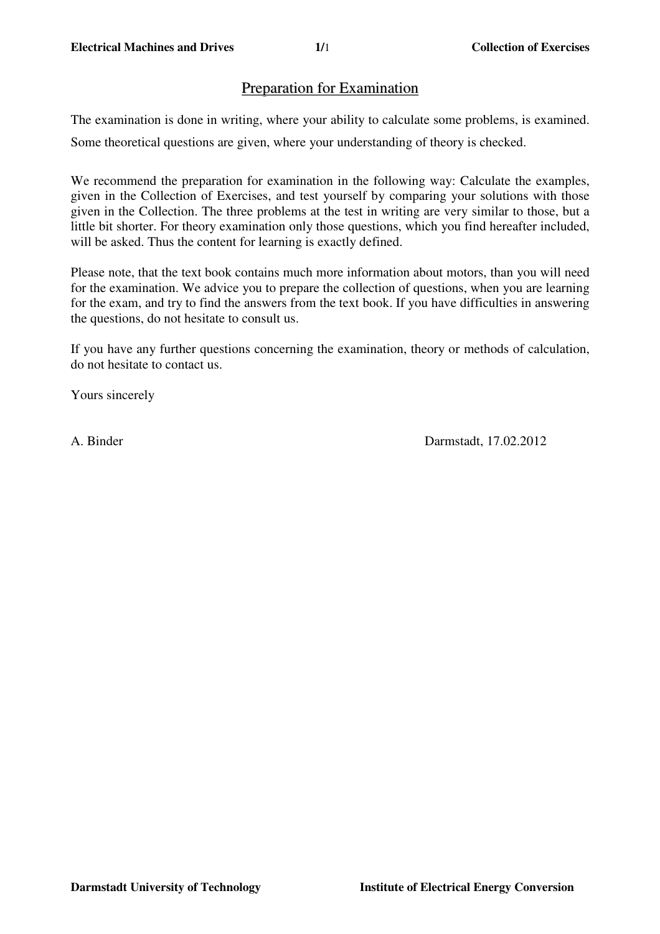# Preparation for Examination

The examination is done in writing, where your ability to calculate some problems, is examined.

Some theoretical questions are given, where your understanding of theory is checked.

We recommend the preparation for examination in the following way: Calculate the examples, given in the Collection of Exercises, and test yourself by comparing your solutions with those given in the Collection. The three problems at the test in writing are very similar to those, but a little bit shorter. For theory examination only those questions, which you find hereafter included, will be asked. Thus the content for learning is exactly defined.

Please note, that the text book contains much more information about motors, than you will need for the examination. We advice you to prepare the collection of questions, when you are learning for the exam, and try to find the answers from the text book. If you have difficulties in answering the questions, do not hesitate to consult us.

If you have any further questions concerning the examination, theory or methods of calculation, do not hesitate to contact us.

Yours sincerely

A. Binder Darmstadt, 17.02.2012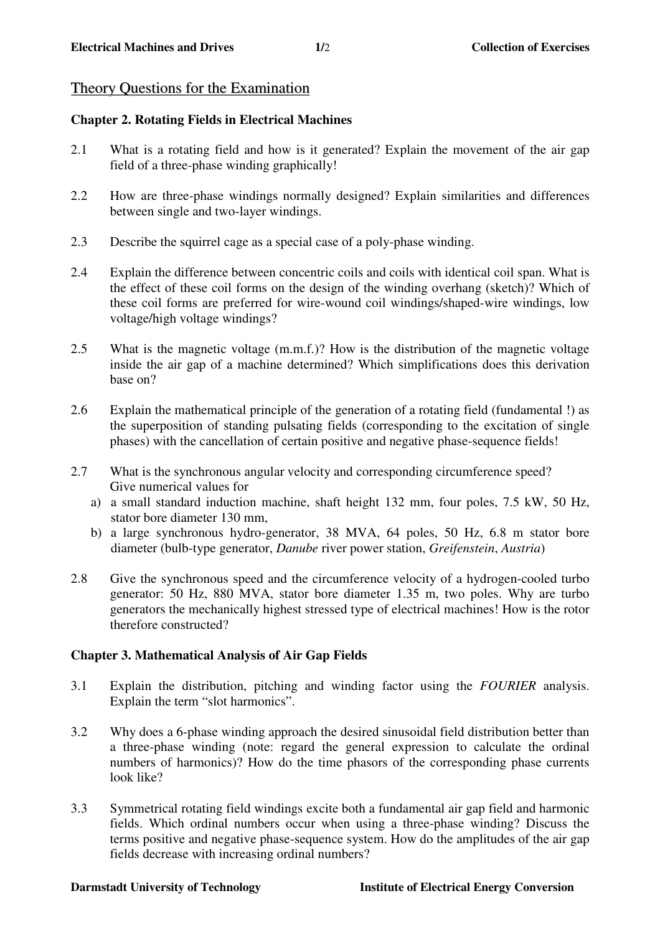# Theory Questions for the Examination

## **Chapter 2. Rotating Fields in Electrical Machines**

- 2.1 What is a rotating field and how is it generated? Explain the movement of the air gap field of a three-phase winding graphically!
- 2.2 How are three-phase windings normally designed? Explain similarities and differences between single and two-layer windings.
- 2.3 Describe the squirrel cage as a special case of a poly-phase winding.
- 2.4 Explain the difference between concentric coils and coils with identical coil span. What is the effect of these coil forms on the design of the winding overhang (sketch)? Which of these coil forms are preferred for wire-wound coil windings/shaped-wire windings, low voltage/high voltage windings?
- 2.5 What is the magnetic voltage (m.m.f.)? How is the distribution of the magnetic voltage inside the air gap of a machine determined? Which simplifications does this derivation base on?
- 2.6 Explain the mathematical principle of the generation of a rotating field (fundamental !) as the superposition of standing pulsating fields (corresponding to the excitation of single phases) with the cancellation of certain positive and negative phase-sequence fields!
- 2.7 What is the synchronous angular velocity and corresponding circumference speed? Give numerical values for
	- a) a small standard induction machine, shaft height 132 mm, four poles, 7.5 kW, 50 Hz, stator bore diameter 130 mm,
	- b) a large synchronous hydro-generator, 38 MVA, 64 poles, 50 Hz, 6.8 m stator bore diameter (bulb-type generator, *Danube* river power station, *Greifenstein*, *Austria*)
- 2.8 Give the synchronous speed and the circumference velocity of a hydrogen-cooled turbo generator: 50 Hz, 880 MVA, stator bore diameter 1.35 m, two poles. Why are turbo generators the mechanically highest stressed type of electrical machines! How is the rotor therefore constructed?

## **Chapter 3. Mathematical Analysis of Air Gap Fields**

- 3.1 Explain the distribution, pitching and winding factor using the *FOURIER* analysis. Explain the term "slot harmonics".
- 3.2 Why does a 6-phase winding approach the desired sinusoidal field distribution better than a three-phase winding (note: regard the general expression to calculate the ordinal numbers of harmonics)? How do the time phasors of the corresponding phase currents look like?
- 3.3 Symmetrical rotating field windings excite both a fundamental air gap field and harmonic fields. Which ordinal numbers occur when using a three-phase winding? Discuss the terms positive and negative phase-sequence system. How do the amplitudes of the air gap fields decrease with increasing ordinal numbers?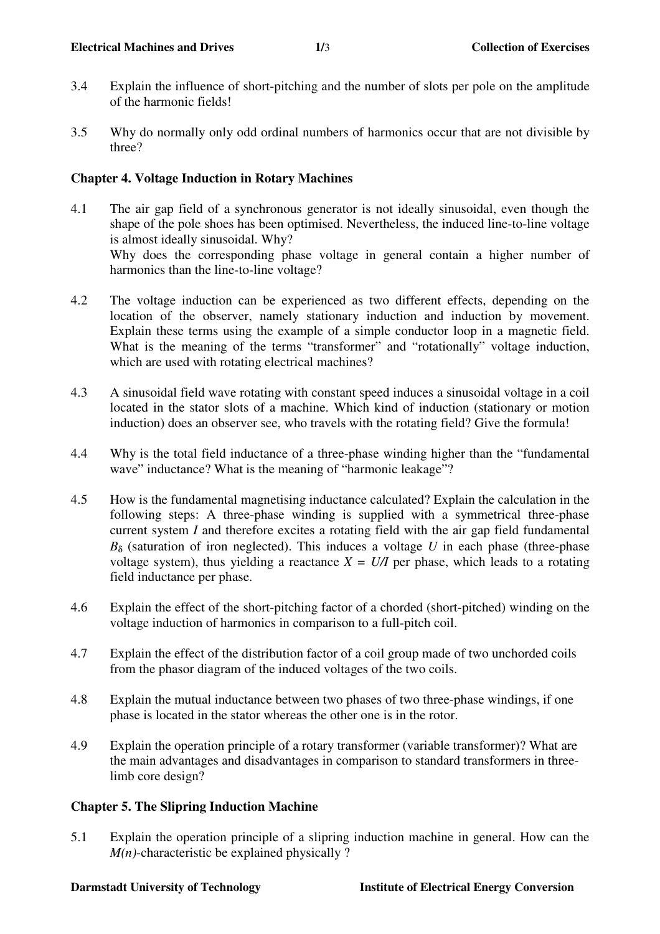- 3.4 Explain the influence of short-pitching and the number of slots per pole on the amplitude of the harmonic fields!
- 3.5 Why do normally only odd ordinal numbers of harmonics occur that are not divisible by three?

## **Chapter 4. Voltage Induction in Rotary Machines**

- 4.1 The air gap field of a synchronous generator is not ideally sinusoidal, even though the shape of the pole shoes has been optimised. Nevertheless, the induced line-to-line voltage is almost ideally sinusoidal. Why? Why does the corresponding phase voltage in general contain a higher number of harmonics than the line-to-line voltage?
- 4.2 The voltage induction can be experienced as two different effects, depending on the location of the observer, namely stationary induction and induction by movement. Explain these terms using the example of a simple conductor loop in a magnetic field. What is the meaning of the terms "transformer" and "rotationally" voltage induction, which are used with rotating electrical machines?
- 4.3 A sinusoidal field wave rotating with constant speed induces a sinusoidal voltage in a coil located in the stator slots of a machine. Which kind of induction (stationary or motion induction) does an observer see, who travels with the rotating field? Give the formula!
- 4.4 Why is the total field inductance of a three-phase winding higher than the "fundamental wave" inductance? What is the meaning of "harmonic leakage"?
- 4.5 How is the fundamental magnetising inductance calculated? Explain the calculation in the following steps: A three-phase winding is supplied with a symmetrical three-phase current system *I* and therefore excites a rotating field with the air gap field fundamental  $B_{\delta}$  (saturation of iron neglected). This induces a voltage *U* in each phase (three-phase voltage system), thus yielding a reactance  $X = U/I$  per phase, which leads to a rotating field inductance per phase.
- 4.6 Explain the effect of the short-pitching factor of a chorded (short-pitched) winding on the voltage induction of harmonics in comparison to a full-pitch coil.
- 4.7 Explain the effect of the distribution factor of a coil group made of two unchorded coils from the phasor diagram of the induced voltages of the two coils.
- 4.8 Explain the mutual inductance between two phases of two three-phase windings, if one phase is located in the stator whereas the other one is in the rotor.
- 4.9 Explain the operation principle of a rotary transformer (variable transformer)? What are the main advantages and disadvantages in comparison to standard transformers in threelimb core design?

# **Chapter 5. The Slipring Induction Machine**

5.1 Explain the operation principle of a slipring induction machine in general. How can the *M(n)*-characteristic be explained physically ?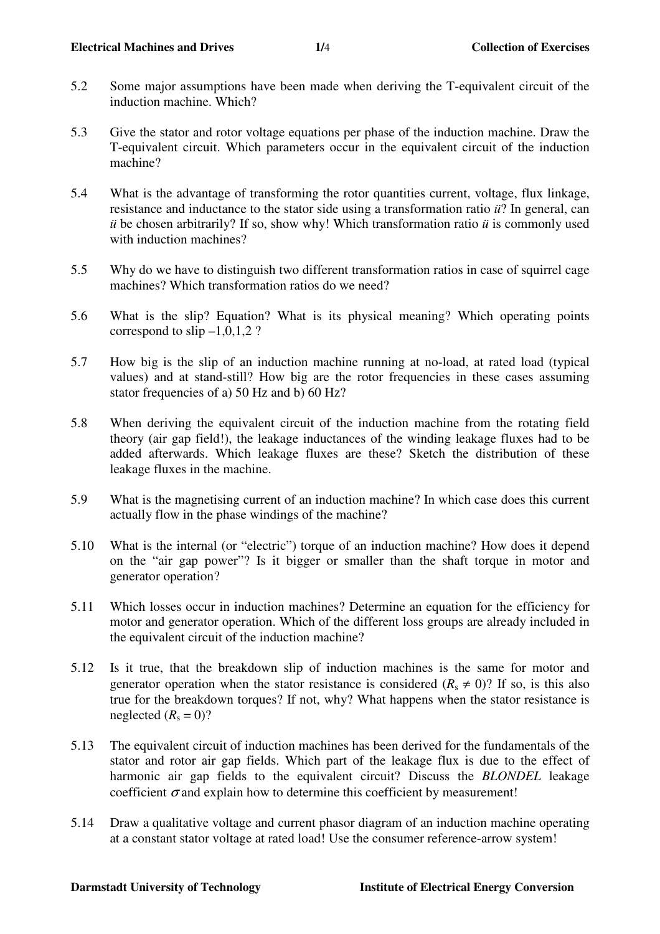- 5.2 Some major assumptions have been made when deriving the T-equivalent circuit of the induction machine. Which?
- 5.3 Give the stator and rotor voltage equations per phase of the induction machine. Draw the T-equivalent circuit. Which parameters occur in the equivalent circuit of the induction machine?
- 5.4 What is the advantage of transforming the rotor quantities current, voltage, flux linkage, resistance and inductance to the stator side using a transformation ratio *ü*? In general, can *ü* be chosen arbitrarily? If so, show why! Which transformation ratio *ü* is commonly used with induction machines?
- 5.5 Why do we have to distinguish two different transformation ratios in case of squirrel cage machines? Which transformation ratios do we need?
- 5.6 What is the slip? Equation? What is its physical meaning? Which operating points correspond to  $\sin\left(-1, 0, 1, 2\right)$ ?
- 5.7 How big is the slip of an induction machine running at no-load, at rated load (typical values) and at stand-still? How big are the rotor frequencies in these cases assuming stator frequencies of a) 50 Hz and b) 60 Hz?
- 5.8 When deriving the equivalent circuit of the induction machine from the rotating field theory (air gap field!), the leakage inductances of the winding leakage fluxes had to be added afterwards. Which leakage fluxes are these? Sketch the distribution of these leakage fluxes in the machine.
- 5.9 What is the magnetising current of an induction machine? In which case does this current actually flow in the phase windings of the machine?
- 5.10 What is the internal (or "electric") torque of an induction machine? How does it depend on the "air gap power"? Is it bigger or smaller than the shaft torque in motor and generator operation?
- 5.11 Which losses occur in induction machines? Determine an equation for the efficiency for motor and generator operation. Which of the different loss groups are already included in the equivalent circuit of the induction machine?
- 5.12 Is it true, that the breakdown slip of induction machines is the same for motor and generator operation when the stator resistance is considered  $(R_s \neq 0)$ ? If so, is this also true for the breakdown torques? If not, why? What happens when the stator resistance is neglected  $(R_s = 0)$ ?
- 5.13 The equivalent circuit of induction machines has been derived for the fundamentals of the stator and rotor air gap fields. Which part of the leakage flux is due to the effect of harmonic air gap fields to the equivalent circuit? Discuss the *BLONDEL* leakage coefficient  $\sigma$  and explain how to determine this coefficient by measurement!
- 5.14 Draw a qualitative voltage and current phasor diagram of an induction machine operating at a constant stator voltage at rated load! Use the consumer reference-arrow system!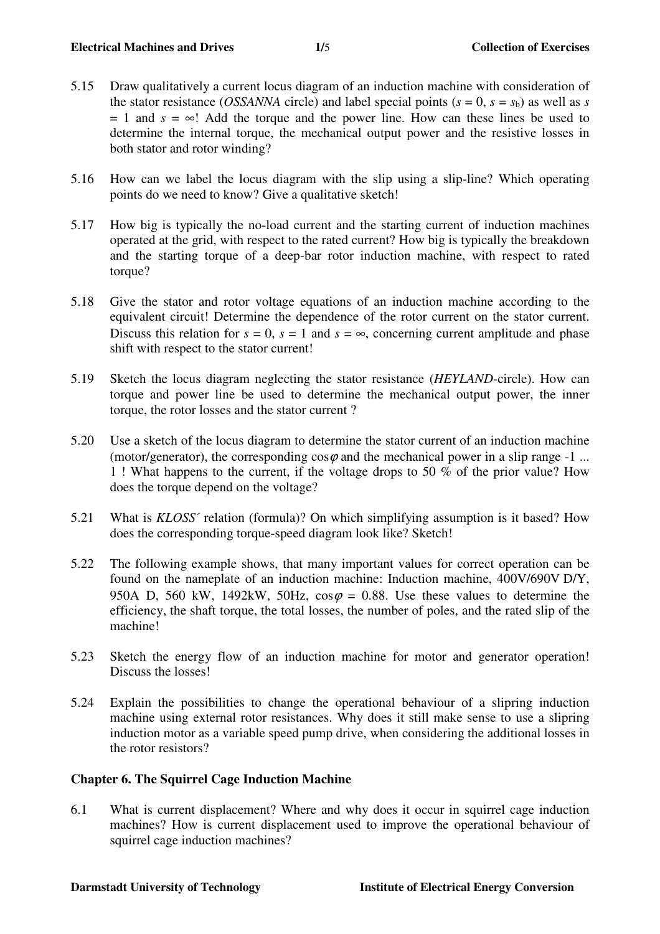- 5.15 Draw qualitatively a current locus diagram of an induction machine with consideration of the stator resistance (*OSSANNA* circle) and label special points  $(s = 0, s = s_b)$  as well as *s*  $= 1$  and  $s = \infty$ ! Add the torque and the power line. How can these lines be used to determine the internal torque, the mechanical output power and the resistive losses in both stator and rotor winding?
- 5.16 How can we label the locus diagram with the slip using a slip-line? Which operating points do we need to know? Give a qualitative sketch!
- 5.17 How big is typically the no-load current and the starting current of induction machines operated at the grid, with respect to the rated current? How big is typically the breakdown and the starting torque of a deep-bar rotor induction machine, with respect to rated torque?
- 5.18 Give the stator and rotor voltage equations of an induction machine according to the equivalent circuit! Determine the dependence of the rotor current on the stator current. Discuss this relation for  $s = 0$ ,  $s = 1$  and  $s = \infty$ , concerning current amplitude and phase shift with respect to the stator current!
- 5.19 Sketch the locus diagram neglecting the stator resistance (*HEYLAND*-circle). How can torque and power line be used to determine the mechanical output power, the inner torque, the rotor losses and the stator current ?
- 5.20 Use a sketch of the locus diagram to determine the stator current of an induction machine (motor/generator), the corresponding  $\cos\varphi$  and the mechanical power in a slip range -1 ... 1 ! What happens to the current, if the voltage drops to 50 % of the prior value? How does the torque depend on the voltage?
- 5.21 What is *KLOSS*´ relation (formula)? On which simplifying assumption is it based? How does the corresponding torque-speed diagram look like? Sketch!
- 5.22 The following example shows, that many important values for correct operation can be found on the nameplate of an induction machine: Induction machine, 400V/690V D/Y, 950A D, 560 kW, 1492kW, 50Hz,  $\cos\varphi = 0.88$ . Use these values to determine the efficiency, the shaft torque, the total losses, the number of poles, and the rated slip of the machine!
- 5.23 Sketch the energy flow of an induction machine for motor and generator operation! Discuss the losses!
- 5.24 Explain the possibilities to change the operational behaviour of a slipring induction machine using external rotor resistances. Why does it still make sense to use a slipring induction motor as a variable speed pump drive, when considering the additional losses in the rotor resistors?

# **Chapter 6. The Squirrel Cage Induction Machine**

6.1 What is current displacement? Where and why does it occur in squirrel cage induction machines? How is current displacement used to improve the operational behaviour of squirrel cage induction machines?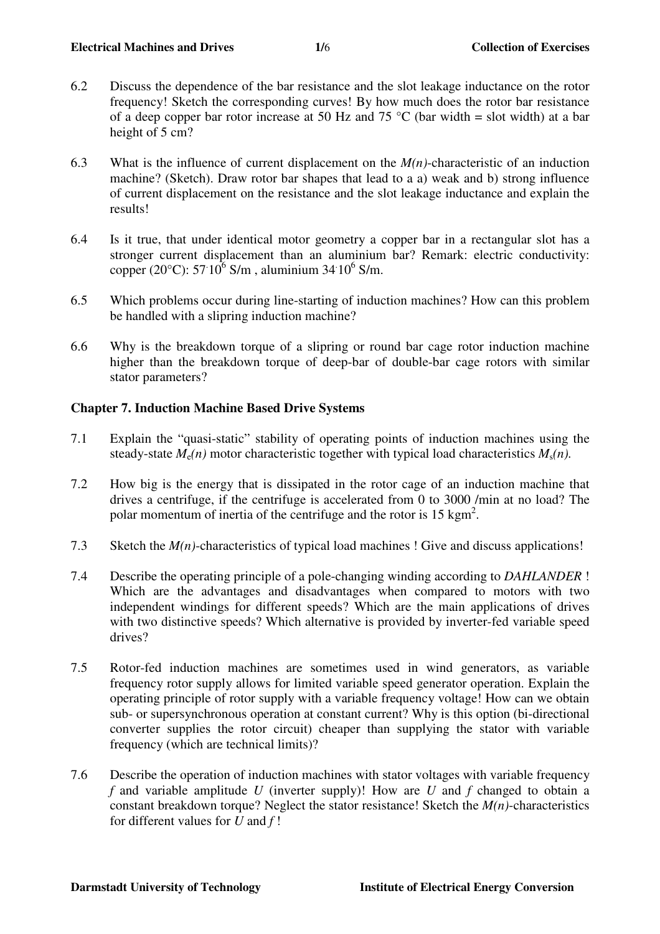- 6.2 Discuss the dependence of the bar resistance and the slot leakage inductance on the rotor frequency! Sketch the corresponding curves! By how much does the rotor bar resistance of a deep copper bar rotor increase at 50 Hz and 75 °C (bar width = slot width) at a bar height of 5 cm?
- 6.3 What is the influence of current displacement on the *M(n)*-characteristic of an induction machine? (Sketch). Draw rotor bar shapes that lead to a a) weak and b) strong influence of current displacement on the resistance and the slot leakage inductance and explain the results!
- 6.4 Is it true, that under identical motor geometry a copper bar in a rectangular slot has a stronger current displacement than an aluminium bar? Remark: electric conductivity: copper (20°C): 57  $10^6$  S/m, aluminium 34  $10^6$  S/m.
- 6.5 Which problems occur during line-starting of induction machines? How can this problem be handled with a slipring induction machine?
- 6.6 Why is the breakdown torque of a slipring or round bar cage rotor induction machine higher than the breakdown torque of deep-bar of double-bar cage rotors with similar stator parameters?

# **Chapter 7. Induction Machine Based Drive Systems**

- 7.1 Explain the "quasi-static" stability of operating points of induction machines using the steady-state  $M_e(n)$  motor characteristic together with typical load characteristics  $M_s(n)$ .
- 7.2 How big is the energy that is dissipated in the rotor cage of an induction machine that drives a centrifuge, if the centrifuge is accelerated from 0 to 3000 /min at no load? The polar momentum of inertia of the centrifuge and the rotor is  $15 \text{ kgm}^2$ .
- 7.3 Sketch the *M(n)*-characteristics of typical load machines ! Give and discuss applications!
- 7.4 Describe the operating principle of a pole-changing winding according to *DAHLANDER* ! Which are the advantages and disadvantages when compared to motors with two independent windings for different speeds? Which are the main applications of drives with two distinctive speeds? Which alternative is provided by inverter-fed variable speed drives?
- 7.5 Rotor-fed induction machines are sometimes used in wind generators, as variable frequency rotor supply allows for limited variable speed generator operation. Explain the operating principle of rotor supply with a variable frequency voltage! How can we obtain sub- or supersynchronous operation at constant current? Why is this option (bi-directional converter supplies the rotor circuit) cheaper than supplying the stator with variable frequency (which are technical limits)?
- 7.6 Describe the operation of induction machines with stator voltages with variable frequency *f* and variable amplitude *U* (inverter supply)! How are *U* and *f* changed to obtain a constant breakdown torque? Neglect the stator resistance! Sketch the *M(n)*-characteristics for different values for *U* and *f* !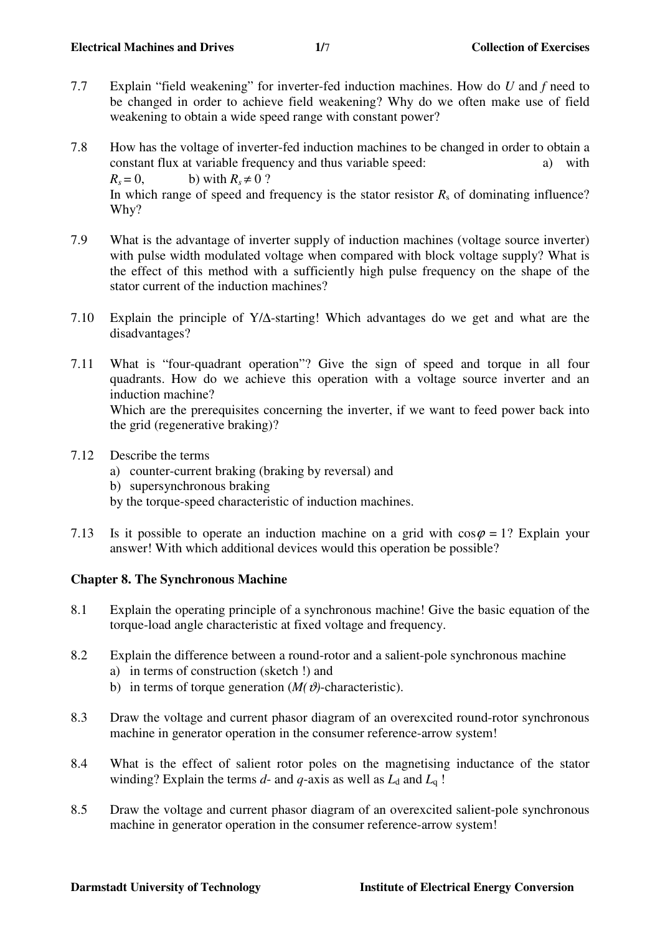- 7.7 Explain "field weakening" for inverter-fed induction machines. How do *U* and *f* need to be changed in order to achieve field weakening? Why do we often make use of field weakening to obtain a wide speed range with constant power?
- 7.8 How has the voltage of inverter-fed induction machines to be changed in order to obtain a constant flux at variable frequency and thus variable speed: a) with  $R_s = 0$ , b) with  $R_s \neq 0$  ? In which range of speed and frequency is the stator resistor  $R<sub>s</sub>$  of dominating influence? Why?
- 7.9 What is the advantage of inverter supply of induction machines (voltage source inverter) with pulse width modulated voltage when compared with block voltage supply? What is the effect of this method with a sufficiently high pulse frequency on the shape of the stator current of the induction machines?
- 7.10 Explain the principle of Y/∆-starting! Which advantages do we get and what are the disadvantages?
- 7.11 What is "four-quadrant operation"? Give the sign of speed and torque in all four quadrants. How do we achieve this operation with a voltage source inverter and an induction machine? Which are the prerequisites concerning the inverter, if we want to feed power back into the grid (regenerative braking)?
- 7.12 Describe the terms
	- a) counter-current braking (braking by reversal) and
	- b) supersynchronous braking
	- by the torque-speed characteristic of induction machines.
- 7.13 Is it possible to operate an induction machine on a grid with  $\cos\varphi = 1$ ? Explain your answer! With which additional devices would this operation be possible?

# **Chapter 8. The Synchronous Machine**

- 8.1 Explain the operating principle of a synchronous machine! Give the basic equation of the torque-load angle characteristic at fixed voltage and frequency.
- 8.2 Explain the difference between a round-rotor and a salient-pole synchronous machine a) in terms of construction (sketch !) and
	- b) in terms of torque generation  $(M( \theta)$ -characteristic).
- 8.3 Draw the voltage and current phasor diagram of an overexcited round-rotor synchronous machine in generator operation in the consumer reference-arrow system!
- 8.4 What is the effect of salient rotor poles on the magnetising inductance of the stator winding? Explain the terms  $d$ - and  $q$ -axis as well as  $L_d$  and  $L_q$  !
- 8.5 Draw the voltage and current phasor diagram of an overexcited salient-pole synchronous machine in generator operation in the consumer reference-arrow system!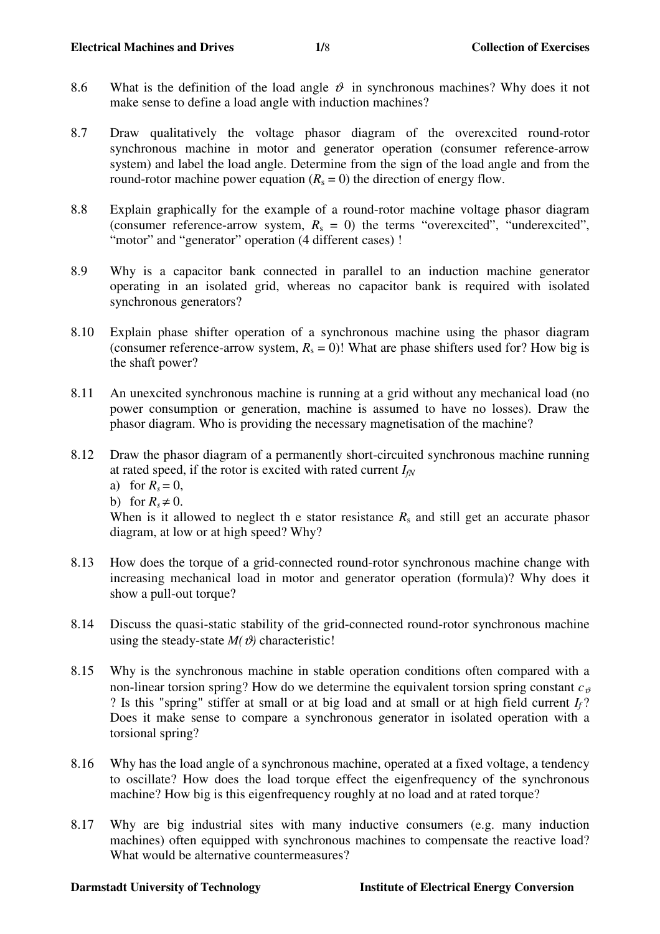- 8.6 What is the definition of the load angle  $\vartheta$  in synchronous machines? Why does it not make sense to define a load angle with induction machines?
- 8.7 Draw qualitatively the voltage phasor diagram of the overexcited round-rotor synchronous machine in motor and generator operation (consumer reference-arrow system) and label the load angle. Determine from the sign of the load angle and from the round-rotor machine power equation  $(R_s = 0)$  the direction of energy flow.
- 8.8 Explain graphically for the example of a round-rotor machine voltage phasor diagram (consumer reference-arrow system,  $R_s = 0$ ) the terms "overexcited", "underexcited", "motor" and "generator" operation (4 different cases) !
- 8.9 Why is a capacitor bank connected in parallel to an induction machine generator operating in an isolated grid, whereas no capacitor bank is required with isolated synchronous generators?
- 8.10 Explain phase shifter operation of a synchronous machine using the phasor diagram (consumer reference-arrow system,  $R_s = 0$ )! What are phase shifters used for? How big is the shaft power?
- 8.11 An unexcited synchronous machine is running at a grid without any mechanical load (no power consumption or generation, machine is assumed to have no losses). Draw the phasor diagram. Who is providing the necessary magnetisation of the machine?
- 8.12 Draw the phasor diagram of a permanently short-circuited synchronous machine running at rated speed, if the rotor is excited with rated current  $I_{fN}$ 
	- a) for  $R_s = 0$ ,
	- b) for  $R_s \neq 0$ .

When is it allowed to neglect the stator resistance  $R_s$  and still get an accurate phasor diagram, at low or at high speed? Why?

- 8.13 How does the torque of a grid-connected round-rotor synchronous machine change with increasing mechanical load in motor and generator operation (formula)? Why does it show a pull-out torque?
- 8.14 Discuss the quasi-static stability of the grid-connected round-rotor synchronous machine using the steady-state  $M(\theta)$  characteristic!
- 8.15 Why is the synchronous machine in stable operation conditions often compared with a non-linear torsion spring? How do we determine the equivalent torsion spring constant  $c_{\theta}$ ? Is this "spring" stiffer at small or at big load and at small or at high field current *If* ? Does it make sense to compare a synchronous generator in isolated operation with a torsional spring?
- 8.16 Why has the load angle of a synchronous machine, operated at a fixed voltage, a tendency to oscillate? How does the load torque effect the eigenfrequency of the synchronous machine? How big is this eigenfrequency roughly at no load and at rated torque?
- 8.17 Why are big industrial sites with many inductive consumers (e.g. many induction machines) often equipped with synchronous machines to compensate the reactive load? What would be alternative countermeasures?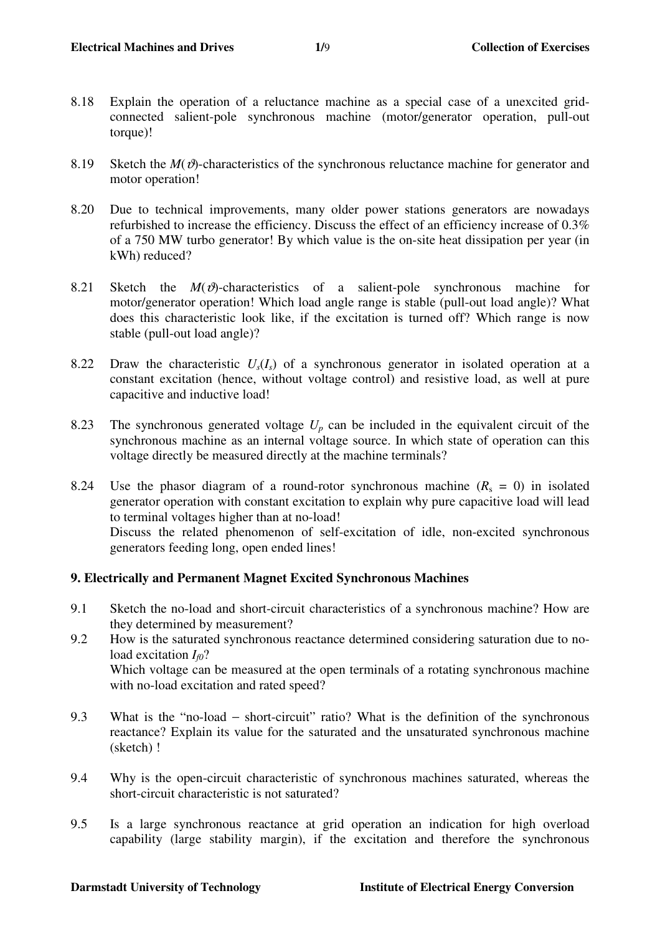- 8.18 Explain the operation of a reluctance machine as a special case of a unexcited gridconnected salient-pole synchronous machine (motor/generator operation, pull-out torque)!
- 8.19 Sketch the  $M(\mathcal{D})$ -characteristics of the synchronous reluctance machine for generator and motor operation!
- 8.20 Due to technical improvements, many older power stations generators are nowadays refurbished to increase the efficiency. Discuss the effect of an efficiency increase of 0.3% of a 750 MW turbo generator! By which value is the on-site heat dissipation per year (in kWh) reduced?
- 8.21 Sketch the  $M(\theta)$ -characteristics of a salient-pole synchronous machine for motor/generator operation! Which load angle range is stable (pull-out load angle)? What does this characteristic look like, if the excitation is turned off? Which range is now stable (pull-out load angle)?
- 8.22 Draw the characteristic  $U_s(I_s)$  of a synchronous generator in isolated operation at a constant excitation (hence, without voltage control) and resistive load, as well at pure capacitive and inductive load!
- 8.23 The synchronous generated voltage  $U_p$  can be included in the equivalent circuit of the synchronous machine as an internal voltage source. In which state of operation can this voltage directly be measured directly at the machine terminals?
- 8.24 Use the phasor diagram of a round-rotor synchronous machine  $(R_s = 0)$  in isolated generator operation with constant excitation to explain why pure capacitive load will lead to terminal voltages higher than at no-load! Discuss the related phenomenon of self-excitation of idle, non-excited synchronous generators feeding long, open ended lines!

# **9. Electrically and Permanent Magnet Excited Synchronous Machines**

- 9.1 Sketch the no-load and short-circuit characteristics of a synchronous machine? How are they determined by measurement?
- 9.2 How is the saturated synchronous reactance determined considering saturation due to noload excitation  $I_m$ ? Which voltage can be measured at the open terminals of a rotating synchronous machine with no-load excitation and rated speed?
- 9.3 What is the "no-load short-circuit" ratio? What is the definition of the synchronous reactance? Explain its value for the saturated and the unsaturated synchronous machine (sketch) !
- 9.4 Why is the open-circuit characteristic of synchronous machines saturated, whereas the short-circuit characteristic is not saturated?
- 9.5 Is a large synchronous reactance at grid operation an indication for high overload capability (large stability margin), if the excitation and therefore the synchronous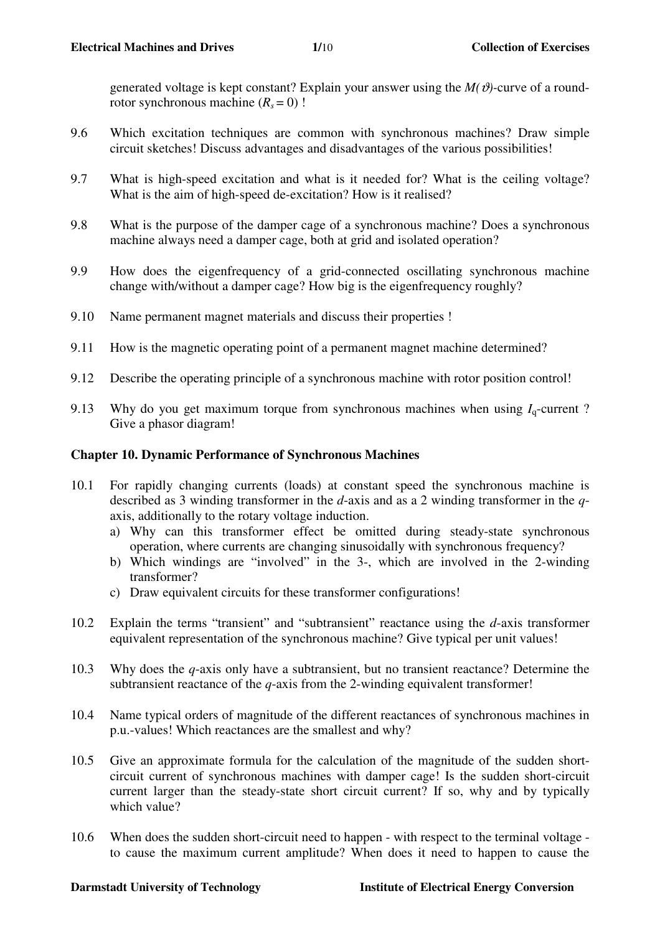generated voltage is kept constant? Explain your answer using the  $M(\vartheta)$ -curve of a roundrotor synchronous machine  $(R_s = 0)$  !

- 9.6 Which excitation techniques are common with synchronous machines? Draw simple circuit sketches! Discuss advantages and disadvantages of the various possibilities!
- 9.7 What is high-speed excitation and what is it needed for? What is the ceiling voltage? What is the aim of high-speed de-excitation? How is it realised?
- 9.8 What is the purpose of the damper cage of a synchronous machine? Does a synchronous machine always need a damper cage, both at grid and isolated operation?
- 9.9 How does the eigenfrequency of a grid-connected oscillating synchronous machine change with/without a damper cage? How big is the eigenfrequency roughly?
- 9.10 Name permanent magnet materials and discuss their properties !
- 9.11 How is the magnetic operating point of a permanent magnet machine determined?
- 9.12 Describe the operating principle of a synchronous machine with rotor position control!
- 9.13 Why do you get maximum torque from synchronous machines when using  $I_q$ -current? Give a phasor diagram!

## **Chapter 10. Dynamic Performance of Synchronous Machines**

- 10.1 For rapidly changing currents (loads) at constant speed the synchronous machine is described as 3 winding transformer in the *d*-axis and as a 2 winding transformer in the *q*axis, additionally to the rotary voltage induction.
	- a) Why can this transformer effect be omitted during steady-state synchronous operation, where currents are changing sinusoidally with synchronous frequency?
	- b) Which windings are "involved" in the 3-, which are involved in the 2-winding transformer?
	- c) Draw equivalent circuits for these transformer configurations!
- 10.2 Explain the terms "transient" and "subtransient" reactance using the *d*-axis transformer equivalent representation of the synchronous machine? Give typical per unit values!
- 10.3 Why does the *q*-axis only have a subtransient, but no transient reactance? Determine the subtransient reactance of the *q*-axis from the 2-winding equivalent transformer!
- 10.4 Name typical orders of magnitude of the different reactances of synchronous machines in p.u.-values! Which reactances are the smallest and why?
- 10.5 Give an approximate formula for the calculation of the magnitude of the sudden shortcircuit current of synchronous machines with damper cage! Is the sudden short-circuit current larger than the steady-state short circuit current? If so, why and by typically which value?
- 10.6 When does the sudden short-circuit need to happen with respect to the terminal voltage to cause the maximum current amplitude? When does it need to happen to cause the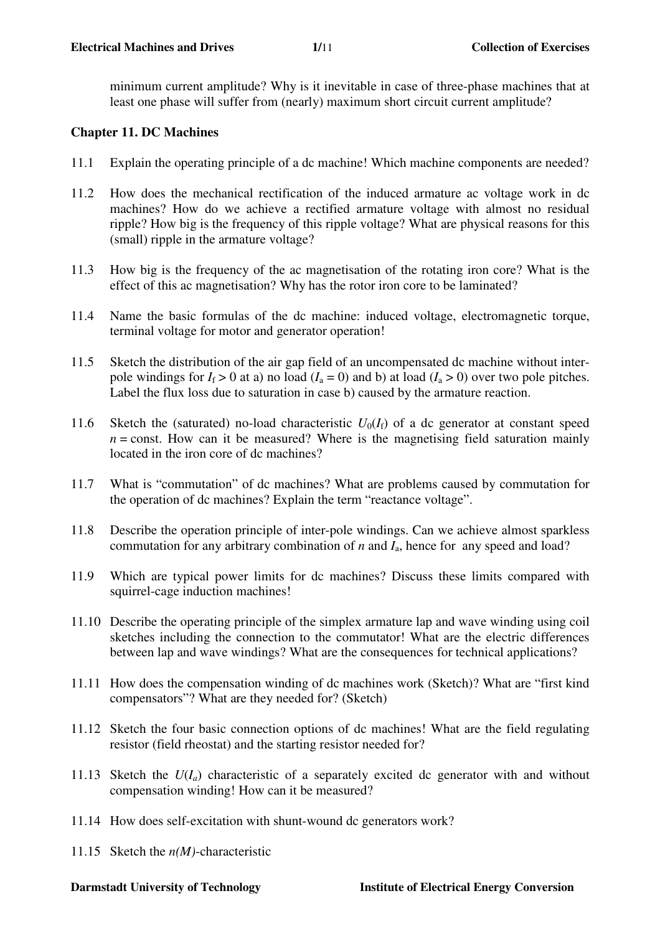minimum current amplitude? Why is it inevitable in case of three-phase machines that at least one phase will suffer from (nearly) maximum short circuit current amplitude?

## **Chapter 11. DC Machines**

- 11.1 Explain the operating principle of a dc machine! Which machine components are needed?
- 11.2 How does the mechanical rectification of the induced armature ac voltage work in dc machines? How do we achieve a rectified armature voltage with almost no residual ripple? How big is the frequency of this ripple voltage? What are physical reasons for this (small) ripple in the armature voltage?
- 11.3 How big is the frequency of the ac magnetisation of the rotating iron core? What is the effect of this ac magnetisation? Why has the rotor iron core to be laminated?
- 11.4 Name the basic formulas of the dc machine: induced voltage, electromagnetic torque, terminal voltage for motor and generator operation!
- 11.5 Sketch the distribution of the air gap field of an uncompensated dc machine without interpole windings for  $I_f > 0$  at a) no load  $(I_a = 0)$  and b) at load  $(I_a > 0)$  over two pole pitches. Label the flux loss due to saturation in case b) caused by the armature reaction.
- 11.6 Sketch the (saturated) no-load characteristic  $U_0(I_f)$  of a dc generator at constant speed  $n =$ const. How can it be measured? Where is the magnetising field saturation mainly located in the iron core of dc machines?
- 11.7 What is "commutation" of dc machines? What are problems caused by commutation for the operation of dc machines? Explain the term "reactance voltage".
- 11.8 Describe the operation principle of inter-pole windings. Can we achieve almost sparkless commutation for any arbitrary combination of *n* and *I*a, hence for any speed and load?
- 11.9 Which are typical power limits for dc machines? Discuss these limits compared with squirrel-cage induction machines!
- 11.10 Describe the operating principle of the simplex armature lap and wave winding using coil sketches including the connection to the commutator! What are the electric differences between lap and wave windings? What are the consequences for technical applications?
- 11.11 How does the compensation winding of dc machines work (Sketch)? What are "first kind compensators"? What are they needed for? (Sketch)
- 11.12 Sketch the four basic connection options of dc machines! What are the field regulating resistor (field rheostat) and the starting resistor needed for?
- 11.13 Sketch the  $U(I_a)$  characteristic of a separately excited dc generator with and without compensation winding! How can it be measured?
- 11.14 How does self-excitation with shunt-wound dc generators work?
- 11.15 Sketch the *n(M)*-characteristic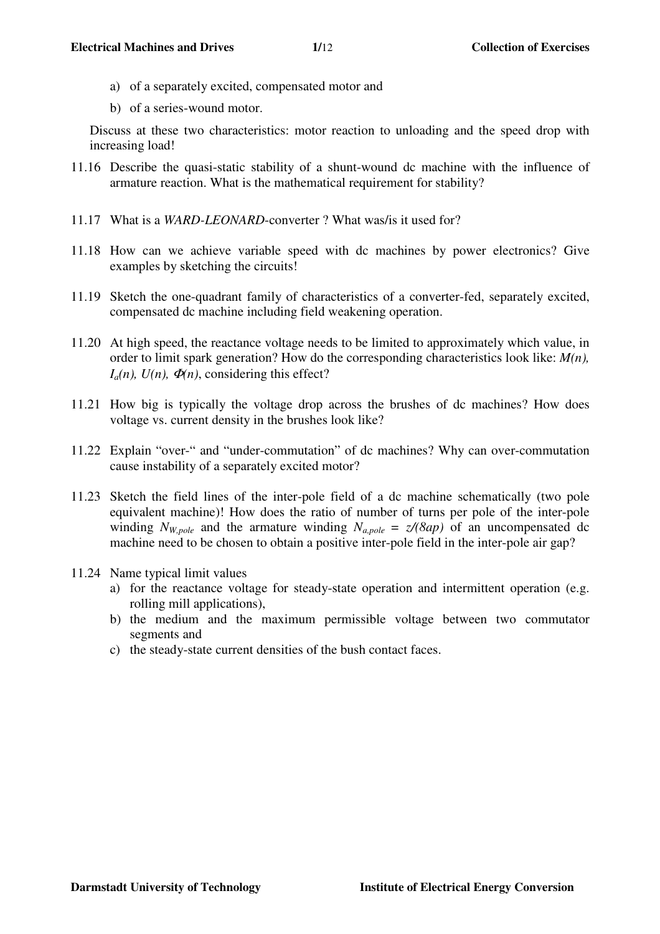- a) of a separately excited, compensated motor and
- b) of a series-wound motor.

Discuss at these two characteristics: motor reaction to unloading and the speed drop with increasing load!

- 11.16 Describe the quasi-static stability of a shunt-wound dc machine with the influence of armature reaction. What is the mathematical requirement for stability?
- 11.17 What is a *WARD-LEONARD*-converter ? What was/is it used for?
- 11.18 How can we achieve variable speed with dc machines by power electronics? Give examples by sketching the circuits!
- 11.19 Sketch the one-quadrant family of characteristics of a converter-fed, separately excited, compensated dc machine including field weakening operation.
- 11.20 At high speed, the reactance voltage needs to be limited to approximately which value, in order to limit spark generation? How do the corresponding characteristics look like: *M(n),*   $I_a(n)$ ,  $U(n)$ ,  $\Phi(n)$ , considering this effect?
- 11.21 How big is typically the voltage drop across the brushes of dc machines? How does voltage vs. current density in the brushes look like?
- 11.22 Explain "over-" and "under-commutation" of dc machines? Why can over-commutation cause instability of a separately excited motor?
- 11.23 Sketch the field lines of the inter-pole field of a dc machine schematically (two pole equivalent machine)! How does the ratio of number of turns per pole of the inter-pole winding  $N_{W,pole}$  and the armature winding  $N_{a,pole} = z/(8ap)$  of an uncompensated dc machine need to be chosen to obtain a positive inter-pole field in the inter-pole air gap?
- 11.24 Name typical limit values
	- a) for the reactance voltage for steady-state operation and intermittent operation (e.g. rolling mill applications),
	- b) the medium and the maximum permissible voltage between two commutator segments and
	- c) the steady-state current densities of the bush contact faces.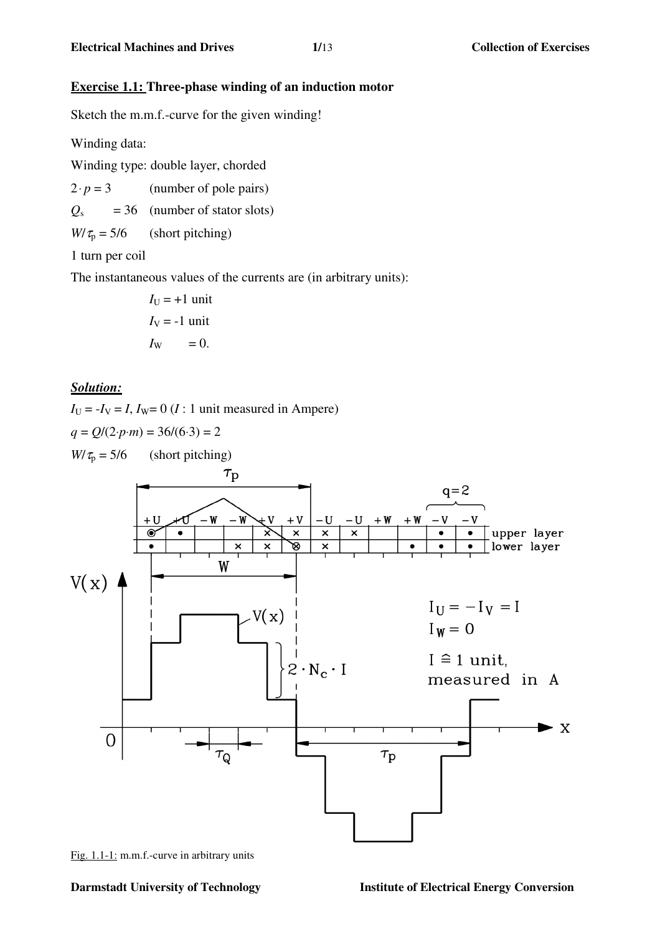## **Exercise 1.1: Three-phase winding of an induction motor**

Sketch the m.m.f.-curve for the given winding!

Winding data:

Winding type: double layer, chorded

 $2 \cdot p = 3$  (number of pole pairs)

 $Q<sub>s</sub> = 36$  (number of stator slots)

 $W/\tau_p = 5/6$  (short pitching)

1 turn per coil

The instantaneous values of the currents are (in arbitrary units):

$$
I_U = +1 \text{ unit}
$$
  

$$
I_V = -1 \text{ unit}
$$
  

$$
I_W = 0.
$$

## *Solution:*

 $I_{\text{U}} = -I_{\text{V}} = I$ ,  $I_{\text{W}} = 0$  (*I* : 1 unit measured in Ampere)  $q = Q/(2 \cdot p \cdot m) = 36/(6 \cdot 3) = 2$  $W/\tau_p = 5/6$  (short pitching)



Fig. 1.1-1: m.m.f.-curve in arbitrary units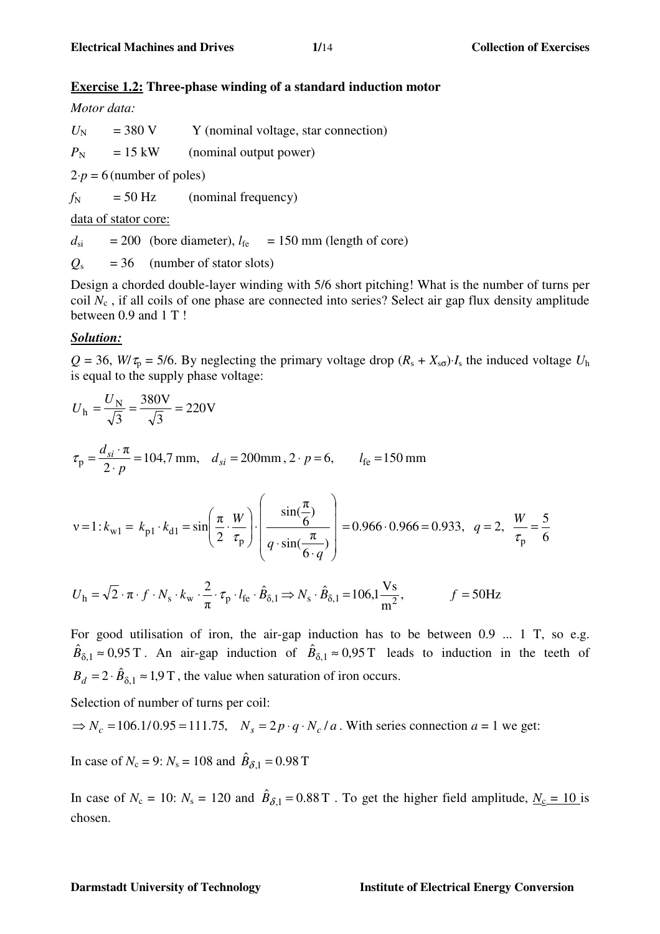## **Exercise 1.2: Three-phase winding of a standard induction motor**

### *Motor data:*

 $U_N$  = 380 V Y (nominal voltage, star connection)  $P_N$  = 15 kW (nominal output power)

 $2 \cdot p = 6$  (number of poles)

 $f_N$  = 50 Hz (nominal frequency)

data of stator core:

 $d_{si}$  = 200 (bore diameter),  $l_{fe}$  = 150 mm (length of core)

 $Q_s$  = 36 (number of stator slots)

Design a chorded double-layer winding with 5/6 short pitching! What is the number of turns per coil *N*c , if all coils of one phase are connected into series? Select air gap flux density amplitude between 0.9 and 1 T !

## *Solution:*

 $Q = 36$ , *W*/ $\tau_p = 5/6$ . By neglecting the primary voltage drop  $(R_s + X_{s0}) \cdot I_s$  the induced voltage  $U_h$ is equal to the supply phase voltage:

$$
U_{\rm h} = \frac{U_{\rm N}}{\sqrt{3}} = \frac{380 \text{V}}{\sqrt{3}} = 220 \text{V}
$$
  
\n
$$
\tau_{\rm p} = \frac{d_{si} \cdot \pi}{2 \cdot p} = 104,7 \text{ mm}, \quad d_{si} = 200 \text{ mm}, 2 \cdot p = 6, \qquad l_{\rm fe} = 150 \text{ mm}
$$
  
\n
$$
\nu = 1: k_{\rm w1} = k_{\rm p1} \cdot k_{\rm d1} = \sin\left(\frac{\pi}{2} \cdot \frac{W}{\tau_{\rm p}}\right) \cdot \left(\frac{\sin(\frac{\pi}{6})}{q \cdot \sin(\frac{\pi}{6 \cdot q})}\right) = 0.966 \cdot 0.966 = 0.933, \quad q = 2, \quad \frac{W}{\tau_{\rm p}} = \frac{5}{6}
$$
  
\n
$$
U_{\rm h} = \sqrt{2} \cdot \pi \cdot f \cdot N_{\rm s} \cdot k_{\rm w} \cdot \frac{2}{\pi} \cdot \tau_{\rm p} \cdot l_{\rm fe} \cdot \hat{B}_{\delta,1} \Rightarrow N_{\rm s} \cdot \hat{B}_{\delta,1} = 106,1 \frac{\text{Vs}}{\text{m}^2}, \qquad f = 50 \text{Hz}
$$

 $f = 50$ Hz m π For good utilisation of iron, the air-gap induction has to be between 0.9 ... 1 T, so e.g.

 $\hat{B}_{\delta,1} \approx 0.95 \text{ T}$ . An air-gap induction of  $\hat{B}_{\delta,1} \approx 0.95 \text{ T}$  leads to induction in the teeth of  $B_d = 2 \cdot \hat{B}_{\delta,1} \approx 1.9 \text{ T}$ , the value when saturation of iron occurs.

Selection of number of turns per coil:

 $\Rightarrow N_c = 106.1/0.95 = 111.75$ ,  $N_s = 2p \cdot q \cdot N_c/a$ . With series connection  $a = 1$  we get:

In case of  $N_c = 9$ :  $N_s = 108$  and  $\hat{B}_{\delta,1} = 0.98$  T

In case of  $N_c = 10$ :  $N_s = 120$  and  $\hat{B}_{\delta,1} = 0.88$  T. To get the higher field amplitude,  $N_c = 10$  is chosen.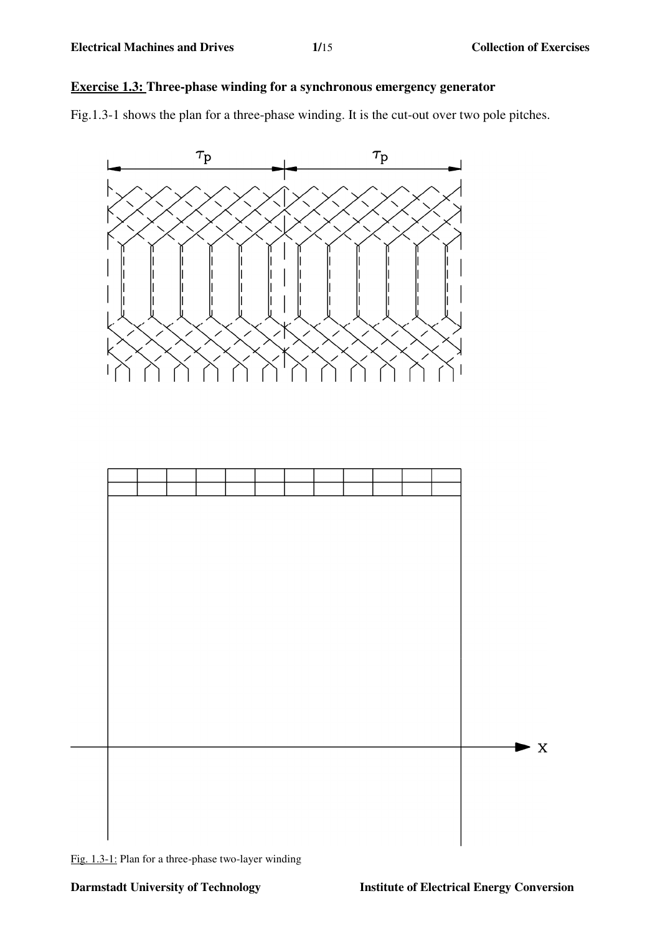# **Exercise 1.3: Three-phase winding for a synchronous emergency generator**

Fig.1.3-1 shows the plan for a three-phase winding. It is the cut-out over two pole pitches.



Fig. 1.3-1: Plan for a three-phase two-layer winding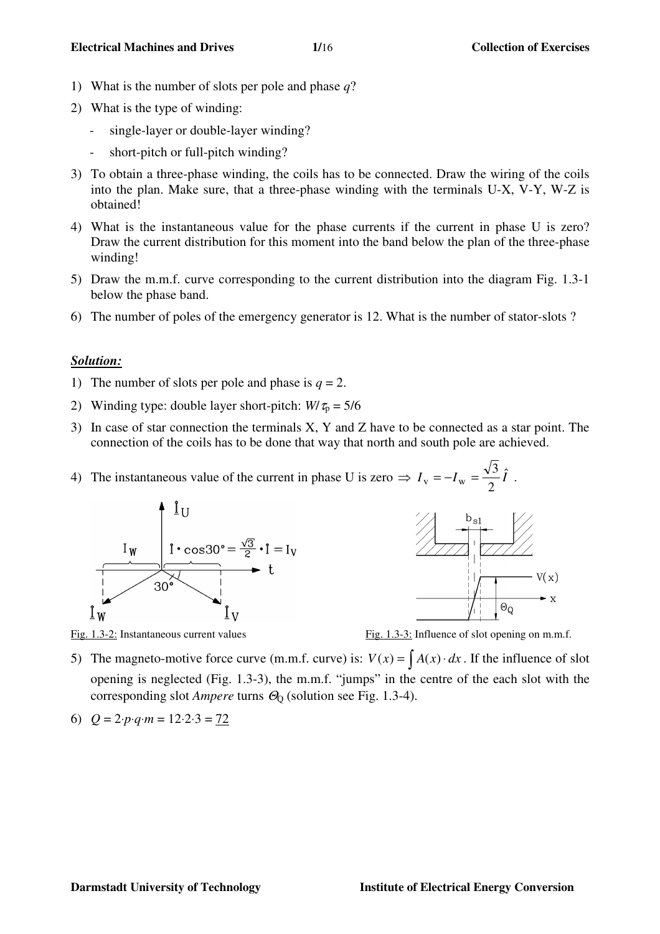- 1) What is the number of slots per pole and phase *q*?
- 2) What is the type of winding:
	- single-layer or double-layer winding?
	- short-pitch or full-pitch winding?
- 3) To obtain a three-phase winding, the coils has to be connected. Draw the wiring of the coils into the plan. Make sure, that a three-phase winding with the terminals U-X, V-Y, W-Z is obtained!
- 4) What is the instantaneous value for the phase currents if the current in phase U is zero? Draw the current distribution for this moment into the band below the plan of the three-phase winding!
- 5) Draw the m.m.f. curve corresponding to the current distribution into the diagram Fig. 1.3-1 below the phase band.
- 6) The number of poles of the emergency generator is 12. What is the number of stator-slots ?

### *Solution:*

- 1) The number of slots per pole and phase is  $q = 2$ .
- 2) Winding type: double layer short-pitch:  $W/\tau_p = 5/6$
- 3) In case of star connection the terminals X, Y and Z have to be connected as a star point. The connection of the coils has to be done that way that north and south pole are achieved.
- 4) The instantaneous value of the current in phase U is zero  $\Rightarrow I_v = -I_w = \frac{\sqrt{3}}{2} \hat{I}$ 2  $\Rightarrow I_{\rm v} = -I_{\rm w} = \frac{\sqrt{3}}{2}\hat{I}$ .





Fig. 1.3-2: Instantaneous current values Fig. 1.3-3: Influence of slot opening on m.m.f.

- 5) The magneto-motive force curve (m.m.f. curve) is:  $V(x) = \int A(x) \cdot dx$ . If the influence of slot opening is neglected (Fig. 1.3-3), the m.m.f. "jumps" in the centre of the each slot with the corresponding slot *Ampere* turns  $Θ$ <sub>0</sub> (solution see Fig. 1.3-4).
- 6) *Q* = 2⋅*p*⋅*q*⋅*m* = 12⋅2⋅3 = 72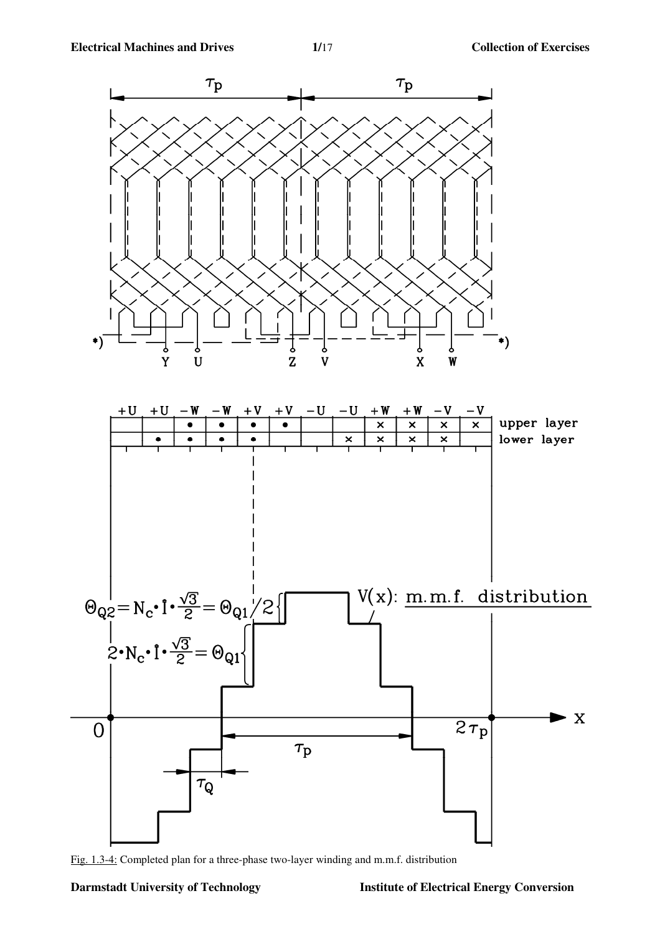

Fig. 1.3-4: Completed plan for a three-phase two-layer winding and m.m.f. distribution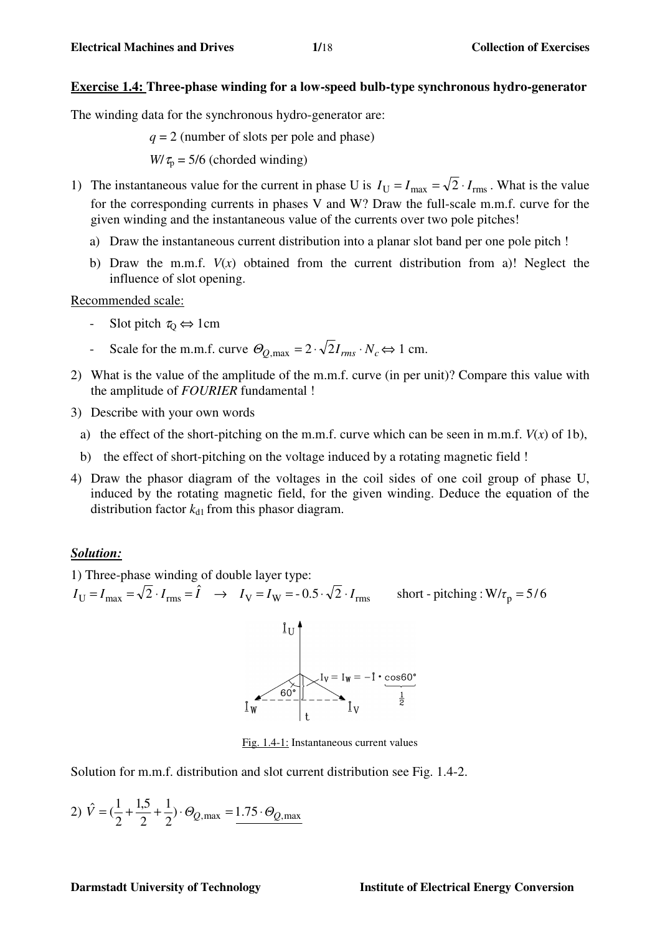## **Exercise 1.4: Three-phase winding for a low-speed bulb-type synchronous hydro-generator**

The winding data for the synchronous hydro-generator are:

*q* = 2 (number of slots per pole and phase)

 $W/\tau_p = 5/6$  (chorded winding)

- 1) The instantaneous value for the current in phase U is  $I_U = I_{max} = \sqrt{2} \cdot I_{rms}$ . What is the value for the corresponding currents in phases V and W? Draw the full-scale m.m.f. curve for the given winding and the instantaneous value of the currents over two pole pitches!
	- a) Draw the instantaneous current distribution into a planar slot band per one pole pitch !
	- b) Draw the m.m.f.  $V(x)$  obtained from the current distribution from a)! Neglect the influence of slot opening.

Recommended scale:

- Slot pitch  $\tau_0 \Leftrightarrow 1$ cm
- Scale for the m.m.f. curve  $\Theta_{O,\text{max}} = 2 \cdot \sqrt{2} I_{rms} \cdot N_c \Longleftrightarrow 1 \text{ cm}.$
- 2) What is the value of the amplitude of the m.m.f. curve (in per unit)? Compare this value with the amplitude of *FOURIER* fundamental !
- 3) Describe with your own words
	- a) the effect of the short-pitching on the m.m.f. curve which can be seen in m.m.f.  $V(x)$  of 1b),
	- b) the effect of short-pitching on the voltage induced by a rotating magnetic field !
- 4) Draw the phasor diagram of the voltages in the coil sides of one coil group of phase U, induced by the rotating magnetic field, for the given winding. Deduce the equation of the distribution factor  $k_{d1}$  from this phasor diagram.

### *Solution:*

1) Three-phase winding of double layer type:

 $I_U = I_{max} = \sqrt{2} \cdot I_{rms} = \hat{I} \rightarrow I_V = I_W = -0.5 \cdot \sqrt{2} \cdot I_{rms}$  short - pitching : W/ $\tau_p = 5/6$ 

 $I_W$ <br> $I_W$  =  $I_W$  =  $-1 \cdot \cos 60^\circ$ <br> $I_V$ <br> $I_V$  =  $I_W$  =  $-1 \cdot \cos 60^\circ$ 

Fig. 1.4-1: Instantaneous current values

Solution for m.m.f. distribution and slot current distribution see Fig. 1.4-2.

2) 
$$
\hat{V} = (\frac{1}{2} + \frac{1.5}{2} + \frac{1}{2}) \cdot \Theta_{Q,\text{max}} = \frac{1.75 \cdot \Theta_{Q,\text{max}}}{2}
$$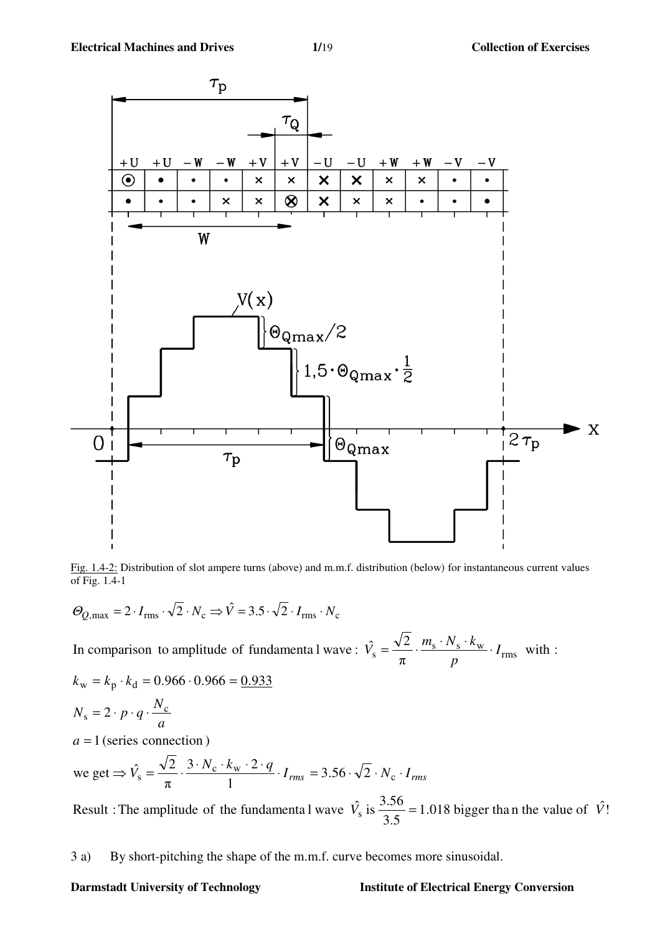

Fig. 1.4-2: Distribution of slot ampere turns (above) and m.m.f. distribution (below) for instantaneous current values of Fig. 1.4-1

$$
\Theta_{Q,\text{max}} = 2 \cdot I_{\text{rms}} \cdot \sqrt{2} \cdot N_{\text{c}} \Rightarrow \hat{V} = 3.5 \cdot \sqrt{2} \cdot I_{\text{rms}} \cdot N_{\text{c}}
$$

 with : π In comparison to amplitude of fundamenta l wave :  $\hat{V}_s = \frac{\sqrt{2}}{I} \cdot \frac{m_s \cdot N_s \cdot k_w}{I} \cdot I_{rms}$ *p*  $\hat{V}_s = \frac{\sqrt{2}}{2} \cdot \frac{m_s \cdot N_s \cdot k_w}{2}$ 

$$
k_{\rm w} = k_{\rm p} \cdot k_{\rm d} = 0.966 \cdot 0.966 = \underline{0.933}
$$
  

$$
N_{\rm s} = 2 \cdot p \cdot q \cdot \frac{N_{\rm c}}{a}
$$

 $a = 1$  (series connection)

we get 
$$
\Rightarrow \hat{V}_s = \frac{\sqrt{2}}{\pi} \cdot \frac{3 \cdot N_c \cdot k_w \cdot 2 \cdot q}{1} \cdot I_{rms} = 3.56 \cdot \sqrt{2} \cdot N_c \cdot I_{rms}
$$

1.018 bigger than the value of  $\hat{V}$ ! 3.5 Result : The amplitude of the fundamenta l wave  $\hat{V}_s$  is  $\frac{3.56}{3.5}$  = 1.018 bigger than the value of  $\hat{V}$ 

3 a) By short-pitching the shape of the m.m.f. curve becomes more sinusoidal.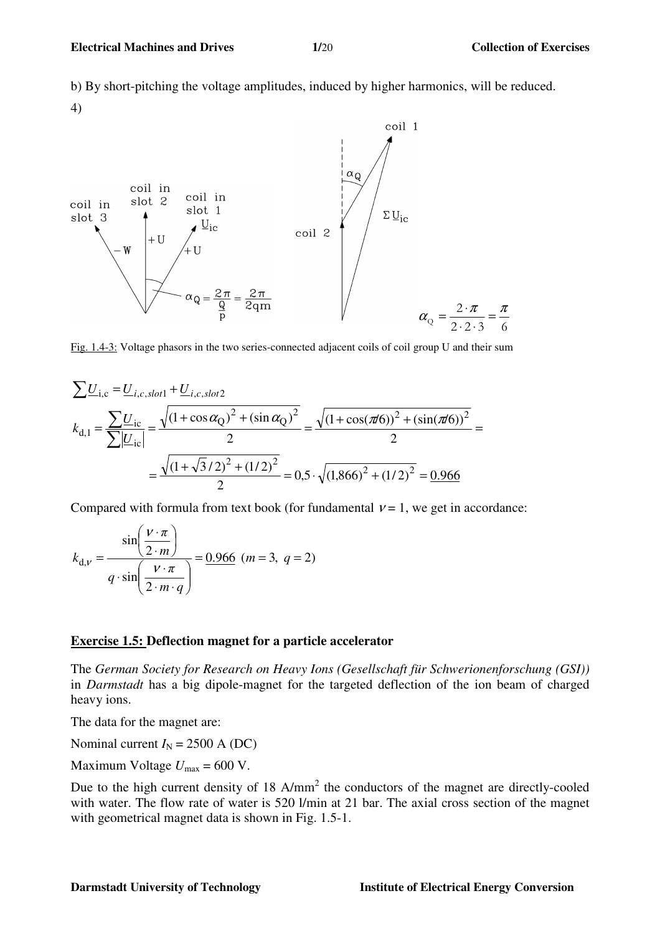b) By short-pitching the voltage amplitudes, induced by higher harmonics, will be reduced. 4)



Fig. 1.4-3: Voltage phasors in the two series-connected adjacent coils of coil group U and their sum

$$
\sum \underline{U}_{i,c} = \underline{U}_{i,c,slot1} + \underline{U}_{i,c,slot2}
$$
\n
$$
k_{d,1} = \frac{\sum \underline{U}_{ic}}{\sum |\underline{U}_{ic}|} = \frac{\sqrt{(1 + \cos \alpha_Q)^2 + (\sin \alpha_Q)^2}}{2} = \frac{\sqrt{(1 + \cos(\pi/6))^2 + (\sin(\pi/6))^2}}{2} = \frac{\sqrt{(1 + \sqrt{3}/2)^2 + (1/2)^2}}{2} = 0,5 \cdot \sqrt{(1,866)^2 + (1/2)^2} = \frac{0.966}{2}
$$

Compared with formula from text book (for fundamental  $v = 1$ , we get in accordance:

$$
k_{\mathrm{d},v} = \frac{\sin\left(\frac{v \cdot \pi}{2 \cdot m}\right)}{q \cdot \sin\left(\frac{v \cdot \pi}{2 \cdot m \cdot q}\right)} = \frac{0.966}{0.966 \quad (m = 3, \ q = 2)}
$$

### **Exercise 1.5: Deflection magnet for a particle accelerator**

The *German Society for Research on Heavy Ions (Gesellschaft für Schwerionenforschung (GSI))* in *Darmstadt* has a big dipole-magnet for the targeted deflection of the ion beam of charged heavy ions.

The data for the magnet are:

Nominal current  $I_N = 2500$  A (DC)

Maximum Voltage  $U_{\text{max}} = 600$  V.

Due to the high current density of  $18$  A/mm<sup>2</sup> the conductors of the magnet are directly-cooled with water. The flow rate of water is 520 l/min at 21 bar. The axial cross section of the magnet with geometrical magnet data is shown in Fig. 1.5-1.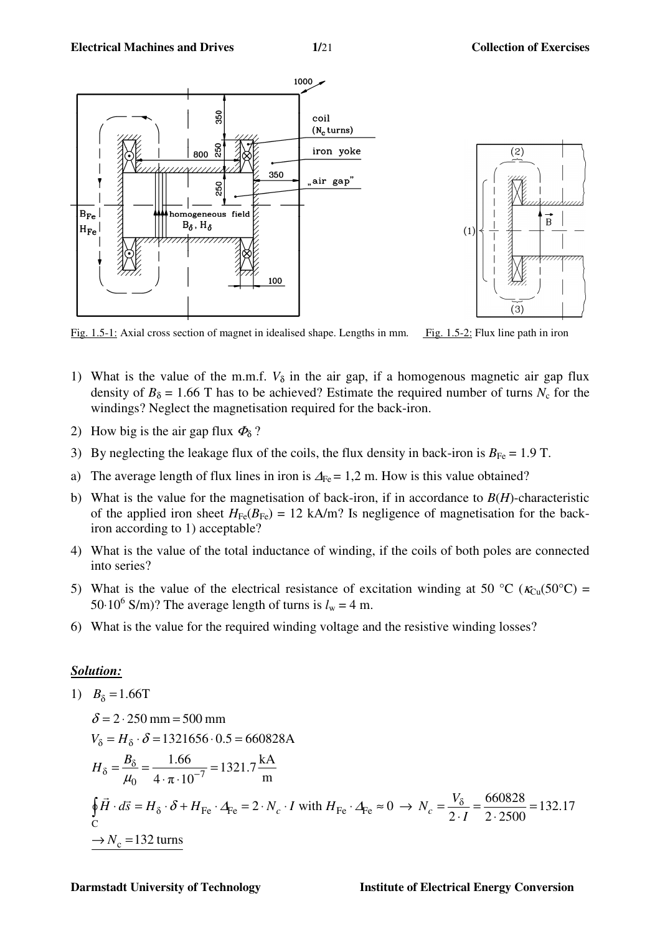

Fig. 1.5-1: Axial cross section of magnet in idealised shape. Lengths in mm. Fig. 1.5-2: Flux line path in iron

- 1) What is the value of the m.m.f.  $V_{\delta}$  in the air gap, if a homogenous magnetic air gap flux density of  $B_{\delta} = 1.66$  T has to be achieved? Estimate the required number of turns  $N_c$  for the windings? Neglect the magnetisation required for the back-iron.
- 2) How big is the air gap flux  $\Phi_{\delta}$ ?
- 3) By neglecting the leakage flux of the coils, the flux density in back-iron is  $B_{\text{Fe}} = 1.9$  T.
- a) The average length of flux lines in iron is  $\Delta_{\text{Fe}} = 1.2$  m. How is this value obtained?
- b) What is the value for the magnetisation of back-iron, if in accordance to  $B(H)$ -characteristic of the applied iron sheet  $H_{Fe}(B_{Fe}) = 12 \text{ kA/m}$ ? Is negligence of magnetisation for the backiron according to 1) acceptable?
- 4) What is the value of the total inductance of winding, if the coils of both poles are connected into series?
- 5) What is the value of the electrical resistance of excitation winding at 50 °C ( $\kappa_{C_{II}}(50^{\circ}\text{C})$  = 50⋅10<sup>6</sup> S/m)? The average length of turns is  $l_w = 4$  m.
- 6) What is the value for the required winding voltage and the resistive winding losses?

#### *Solution:*

1) 
$$
B_{\delta} = 1.66T
$$
  
\n $\delta = 2.250 \text{ mm} = 500 \text{ mm}$   
\n $V_{\delta} = H_{\delta} \cdot \delta = 1321656 \cdot 0.5 = 660828 \text{ A}$   
\n $H_{\delta} = \frac{B_{\delta}}{\mu_0} = \frac{1.66}{4 \cdot \pi \cdot 10^{-7}} = 1321.7 \frac{\text{kA}}{\text{m}}$   
\n $\oint \vec{H} \cdot d\vec{s} = H_{\delta} \cdot \delta + H_{\text{Fe}} \cdot \Delta_{\text{Fe}} = 2 \cdot N_c \cdot I \text{ with } H_{\text{Fe}} \cdot \Delta_{\text{Fe}} \approx 0 \rightarrow N_c = \frac{V_{\delta}}{2 \cdot I} = \frac{660828}{2 \cdot 2500} = 132.17$   
\n $\rightarrow N_c = 132 \text{ turns}$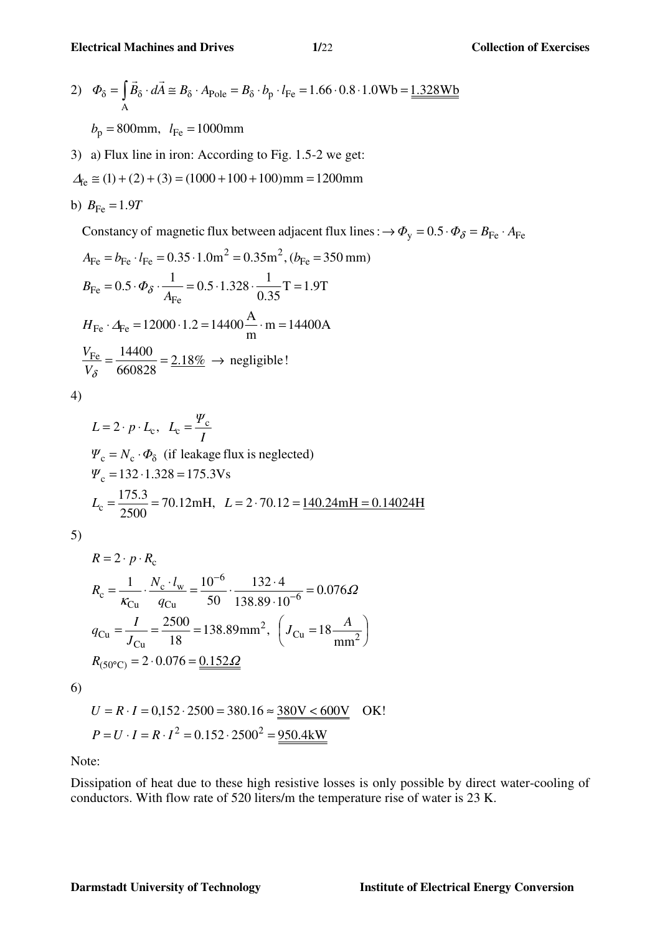2) 
$$
\Phi_{\delta} = \int_{A} \vec{B}_{\delta} \cdot d\vec{A} \approx B_{\delta} \cdot A_{\text{Pole}} = B_{\delta} \cdot b_{\text{p}} \cdot l_{\text{Fe}} = 1.66 \cdot 0.8 \cdot 1.0 \text{Wb} = \underline{1.328 \text{Wb}}
$$
  
 $b_{\text{p}} = 800 \text{mm}, l_{\text{Fe}} = 1000 \text{mm}$ 

3) a) Flux line in iron: According to Fig. 1.5-2 we get:

$$
\Delta_{fe} \cong (1) + (2) + (3) = (1000 + 100 + 100) \text{mm} = 1200 \text{mm}
$$

b) 
$$
B_{\text{Fe}} = 1.9T
$$

Constancy of magnetic flux between adjacent flux lines :  $\rightarrow \Phi_y = 0.5 \cdot \Phi_{\delta} = B_{\text{Fe}} \cdot A_{\text{Fe}}$ 

$$
A_{\text{Fe}} = b_{\text{Fe}} \cdot l_{\text{Fe}} = 0.35 \cdot 1.0 \text{m}^2 = 0.35 \text{m}^2, (b_{\text{Fe}} = 350 \text{ mm})
$$
  
\n
$$
B_{\text{Fe}} = 0.5 \cdot \Phi_{\delta} \cdot \frac{1}{A_{\text{Fe}}} = 0.5 \cdot 1.328 \cdot \frac{1}{0.35} \text{T} = 1.9 \text{T}
$$
  
\n
$$
H_{\text{Fe}} \cdot \Delta_{\text{Fe}} = 12000 \cdot 1.2 = 14400 \frac{\text{A}}{\text{m}} \cdot \text{m} = 14400 \text{A}
$$
  
\n
$$
\frac{V_{\text{Fe}}}{V_{\delta}} = \frac{14400}{660828} = 2.18\% \rightarrow \text{ negligible!}
$$

4)

$$
L = 2 \cdot p \cdot L_c, \quad L_c = \frac{\Psi_c}{I}
$$
  
\n
$$
\Psi_c = N_c \cdot \Phi_\delta \text{ (if leakage flux is neglected)}
$$
  
\n
$$
\Psi_c = 132 \cdot 1.328 = 175.3 \text{Vs}
$$
  
\n
$$
L_c = \frac{175.3}{2500} = 70.12 \text{mH}, \quad L = 2 \cdot 70.12 = \frac{140.24 \text{mH} = 0.14024 \text{H}}{140.24 \text{mH} = 0.14024 \text{H}}
$$

5)

$$
R = 2 \cdot p \cdot R_{c}
$$
  
\n
$$
R_{c} = \frac{1}{\kappa_{Cu}} \cdot \frac{N_{c} \cdot l_{w}}{q_{Cu}} = \frac{10^{-6}}{50} \cdot \frac{132 \cdot 4}{138.89 \cdot 10^{-6}} = 0.076 \Omega
$$
  
\n
$$
q_{Cu} = \frac{I}{J_{Cu}} = \frac{2500}{18} = 138.89 \text{ mm}^2, \left( J_{Cu} = 18 \frac{A}{\text{mm}^2} \right)
$$
  
\n
$$
R_{(50^{\circ}C)} = 2 \cdot 0.076 = \frac{0.152 \Omega}{}
$$

6)

$$
U = R \cdot I = 0,152 \cdot 2500 = 380.16 \approx \frac{380 \text{V} < 600 \text{V}}{2500} \quad \text{OK!}
$$
  

$$
P = U \cdot I = R \cdot I^2 = 0.152 \cdot 2500^2 = \frac{950.4 \text{kW}}{2500 \cdot 2500} \quad \text{OK!}
$$

Note:

Dissipation of heat due to these high resistive losses is only possible by direct water-cooling of conductors. With flow rate of 520 liters/m the temperature rise of water is 23 K.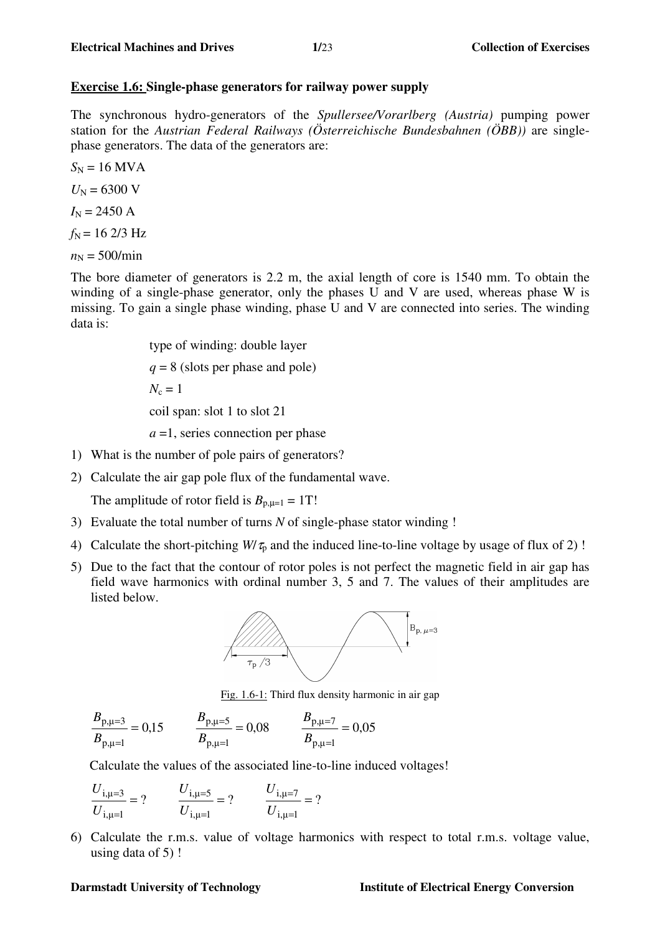## **Exercise 1.6: Single-phase generators for railway power supply**

The synchronous hydro-generators of the *Spullersee/Vorarlberg (Austria)* pumping power station for the *Austrian Federal Railways (Österreichische Bundesbahnen (ÖBB))* are singlephase generators. The data of the generators are:

$$
S_N = 16
$$
 MVA  
\n $U_N = 6300$  V  
\n $I_N = 2450$  A  
\n $f_N = 162/3$  Hz

 $n_N = 500/min$ 

The bore diameter of generators is 2.2 m, the axial length of core is 1540 mm. To obtain the winding of a single-phase generator, only the phases U and V are used, whereas phase W is missing. To gain a single phase winding, phase U and V are connected into series. The winding data is:

> type of winding: double layer *q* = 8 (slots per phase and pole)  $N_c = 1$  coil span: slot 1 to slot 21 *a* =1, series connection per phase

- 1) What is the number of pole pairs of generators?
- 2) Calculate the air gap pole flux of the fundamental wave.

The amplitude of rotor field is  $B_{p,\mu=1} = 1T!$ 

- 3) Evaluate the total number of turns *N* of single-phase stator winding !
- 4) Calculate the short-pitching  $W/\tau_0$  and the induced line-to-line voltage by usage of flux of 2)!
- 5) Due to the fact that the contour of rotor poles is not perfect the magnetic field in air gap has field wave harmonics with ordinal number 3, 5 and 7. The values of their amplitudes are listed below.



Fig. 1.6-1: Third flux density harmonic in air gap

$$
\frac{B_{p,\mu=3}}{B_{p,\mu=1}} = 0.15
$$
\n
$$
\frac{B_{p,\mu=5}}{B_{p,\mu=1}} = 0.08
$$
\n
$$
\frac{B_{p,\mu=7}}{B_{p,\mu=1}} = 0.05
$$

Calculate the values of the associated line-to-line induced voltages!

$$
\frac{U_{i,\mu=3}}{U_{i,\mu=1}} = ? \qquad \frac{U_{i,\mu=5}}{U_{i,\mu=1}} = ? \qquad \frac{U_{i,\mu=7}}{U_{i,\mu=1}} = ?
$$

6) Calculate the r.m.s. value of voltage harmonics with respect to total r.m.s. voltage value, using data of 5) !

#### **Darmstadt University of Technology Institute of Electrical Energy Conversion**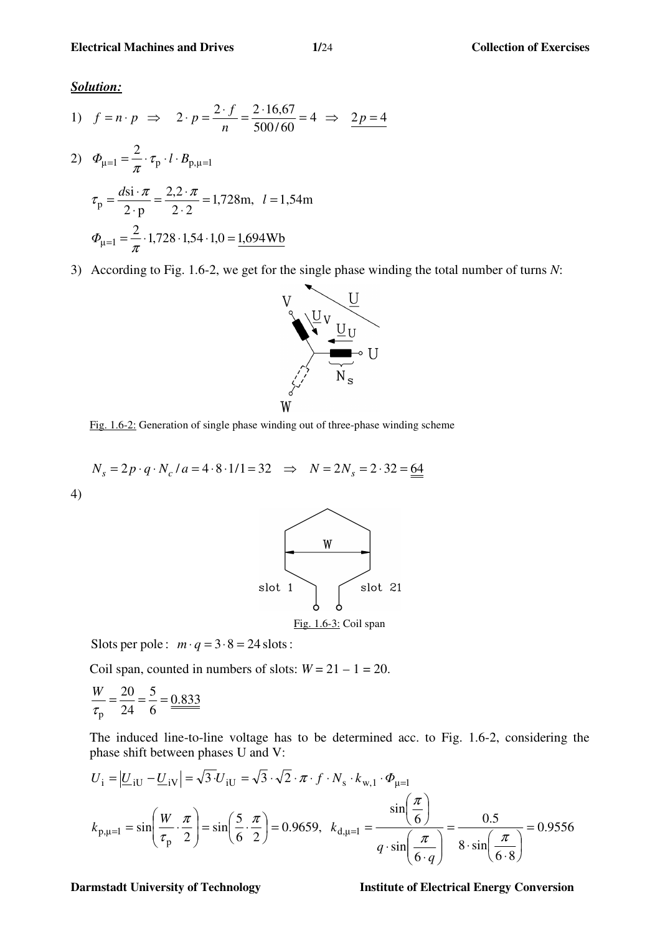*Solution:*

1) 
$$
f = n \cdot p \implies 2 \cdot p = \frac{2 \cdot f}{n} = \frac{2 \cdot 16,67}{500/60} = 4 \implies \frac{2p = 4}{2}
$$
  
\n2)  $\Phi_{\mu=1} = \frac{2}{\pi} \cdot \tau_p \cdot l \cdot B_{p,\mu=1}$   
\n $\tau_p = \frac{d s i \cdot \pi}{2 \cdot p} = \frac{2,2 \cdot \pi}{2 \cdot 2} = 1,728 \text{ m}, \quad l = 1,54 \text{ m}$   
\n $\Phi_{\mu=1} = \frac{2}{\pi} \cdot 1,728 \cdot 1,54 \cdot 1,0 = \frac{1,694 \text{ Wb}}{2}$ 

3) According to Fig. 1.6-2, we get for the single phase winding the total number of turns *N*:



Fig. 1.6-2: Generation of single phase winding out of three-phase winding scheme

$$
N_s = 2p \cdot q \cdot N_c / a = 4 \cdot 8 \cdot 1/1 = 32 \implies N = 2N_s = 2 \cdot 32 = 64
$$
  
(4)



Slots per pole :  $m \cdot q = 3 \cdot 8 = 24$  slots :

Coil span, counted in numbers of slots:  $W = 21 - 1 = 20$ .

$$
\frac{W}{\tau_{\text{p}}} = \frac{20}{24} = \frac{5}{6} = \frac{0.833}{24}
$$

The induced line-to-line voltage has to be determined acc. to Fig. 1.6-2, considering the phase shift between phases U and V:

$$
U_{i} = |\underline{U}_{iU} - \underline{U}_{iV}| = \sqrt{3} \cdot U_{iU} = \sqrt{3} \cdot \sqrt{2} \cdot \pi \cdot f \cdot N_{s} \cdot k_{w,1} \cdot \Phi_{\mu=1}
$$
  

$$
k_{p,\mu=1} = \sin\left(\frac{W}{\tau_{p}} \cdot \frac{\pi}{2}\right) = \sin\left(\frac{5}{6} \cdot \frac{\pi}{2}\right) = 0.9659, \ \ k_{d,\mu=1} = \frac{\sin\left(\frac{\pi}{6}\right)}{q \cdot \sin\left(\frac{\pi}{6 \cdot q}\right)} = \frac{0.5}{8 \cdot \sin\left(\frac{\pi}{6 \cdot 8}\right)} = 0.9556
$$

**Darmstadt University of Technology Music Energy Conversion Institute of Electrical Energy Conversion**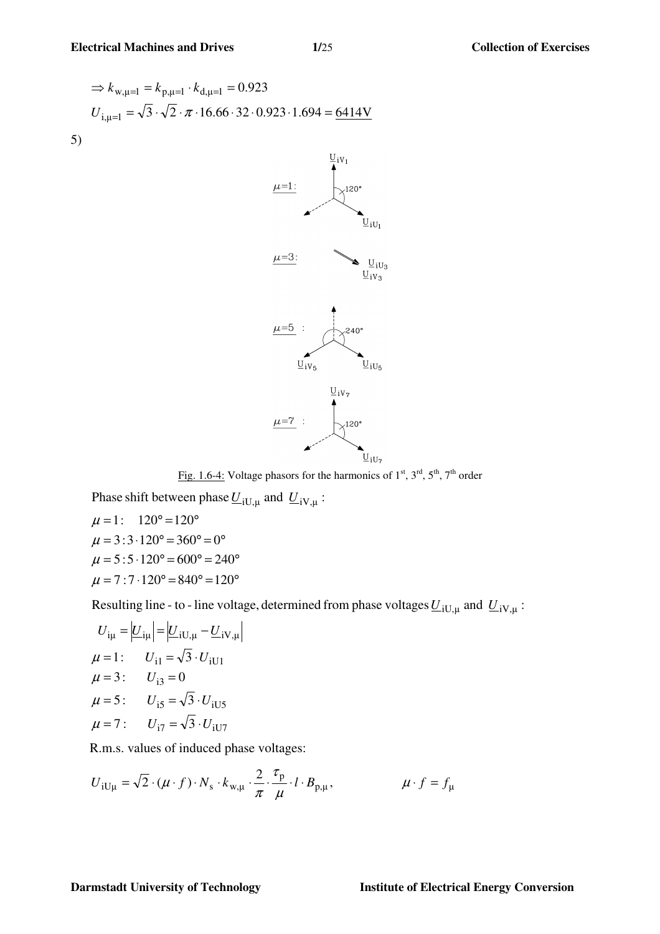$$
\Rightarrow k_{w,\mu=1} = k_{p,\mu=1} \cdot k_{d,\mu=1} = 0.923
$$
  

$$
U_{i,\mu=1} = \sqrt{3} \cdot \sqrt{2} \cdot \pi \cdot 16.66 \cdot 32 \cdot 0.923 \cdot 1.694 = \underline{6414V}
$$
  
5)



Fig. 1.6-4: Voltage phasors for the harmonics of  $1<sup>st</sup>$ ,  $3<sup>rd</sup>$ ,  $5<sup>th</sup>$ ,  $7<sup>th</sup>$  order

 $\mu = 7 : 7 \cdot 120^{\circ} = 840^{\circ} = 120^{\circ}$  $\mu = 5 : 5 \cdot 120^{\circ} = 600^{\circ} = 240^{\circ}$  $\mu = 3 : 3 \cdot 120^{\circ} = 360^{\circ} = 0^{\circ}$  $\mu = 1: 120^{\circ} = 120^{\circ}$ Phase shift between phase  $\underline{U}_{iU,\mu}$  and  $\underline{U}_{iV,\mu}$ :

Resulting line - to - line voltage, determined from phase voltages  $\underline{U}_{iU,\mu}$  and  $\underline{U}_{iV,\mu}$ :

$$
U_{i\mu} = |U_{i\mu}| = |U_{iU,\mu} - U_{iV,\mu}|
$$
  
\n
$$
\mu = 1: \qquad U_{i1} = \sqrt{3} \cdot U_{iU1}
$$
  
\n
$$
\mu = 3: \qquad U_{i3} = 0
$$
  
\n
$$
\mu = 5: \qquad U_{i5} = \sqrt{3} \cdot U_{iU5}
$$
  
\n
$$
\mu = 7: \qquad U_{i7} = \sqrt{3} \cdot U_{iU7}
$$

R.m.s. values of induced phase voltages:

$$
U_{iU\mu} = \sqrt{2} \cdot (\mu \cdot f) \cdot N_{s} \cdot k_{w,\mu} \cdot \frac{2}{\pi} \cdot \frac{\tau_{p}}{\mu} \cdot l \cdot B_{p,\mu}, \qquad \mu \cdot f = f_{\mu}
$$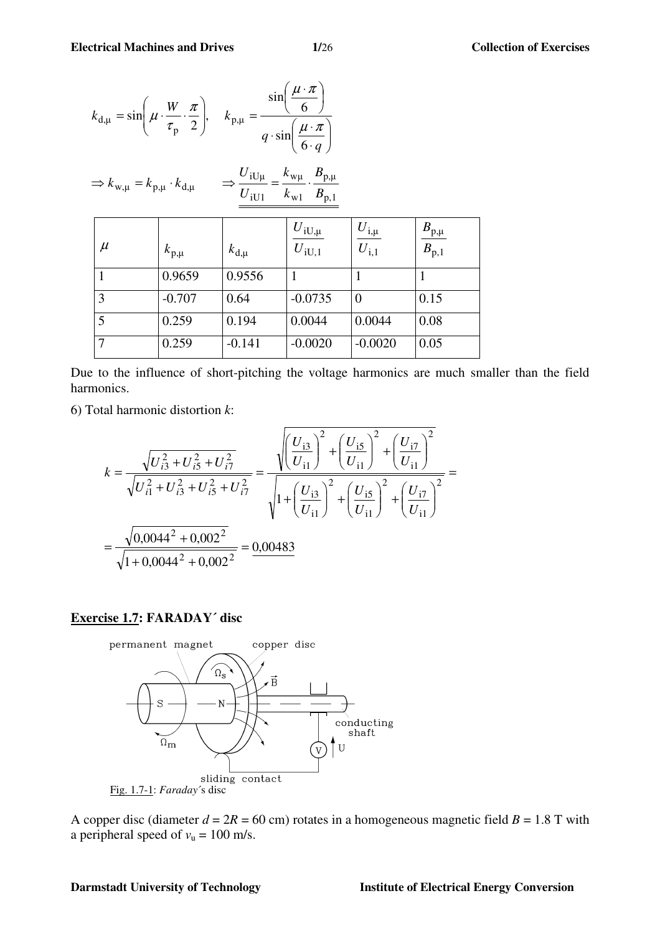| $k_{\rm d,\mu} = \sin\left(\mu \cdot \frac{W}{\tau_{\rm p}} \cdot \frac{\pi}{2}\right), \quad k_{\rm p,\mu} = \frac{\sin\left(\frac{\mu \cdot \pi}{6}\right)}{q \cdot \sin\left(\frac{\mu \cdot \pi}{6 \cdot q}\right)}$ |                 |                 |                                              |                                                     |                                     |
|--------------------------------------------------------------------------------------------------------------------------------------------------------------------------------------------------------------------------|-----------------|-----------------|----------------------------------------------|-----------------------------------------------------|-------------------------------------|
| $\Rightarrow \frac{U_{iU\mu}}{U_{iU1}} = \frac{k_{w\mu}}{k_{w1}} \cdot \frac{B_{p,\mu}}{B_{p,1}}$<br>$\Rightarrow k_{w,\mu} = k_{p,\mu} \cdot k_{d,\mu}$                                                                 |                 |                 |                                              |                                                     |                                     |
| $\mu$                                                                                                                                                                                                                    | $k_{\rm p,\mu}$ | $k_{\rm d,\mu}$ | $\left  \frac{U_{iU,\mu}}{U_{iU,1}} \right $ | $\bigg \frac{U_{{\rm i},\mu}}{U_{{\rm i},1}}\bigg $ | $\frac{B_{\rm p,\mu}}{B_{\rm p,1}}$ |
| $\overline{1}$                                                                                                                                                                                                           | 0.9659          | 0.9556          | 1                                            | $\mathbf{1}$                                        | $\mathbf{1}$                        |
| 3                                                                                                                                                                                                                        | $-0.707$        | 0.64            | $-0.0735$                                    | $\theta$                                            | 0.15                                |
| $\overline{5}$                                                                                                                                                                                                           | 0.259           | 0.194           | 0.0044                                       | 0.0044                                              | 0.08                                |
| $\overline{7}$                                                                                                                                                                                                           | 0.259           | $-0.141$        | $-0.0020$                                    | $-0.0020$                                           | 0.05                                |

Due to the influence of short-pitching the voltage harmonics are much smaller than the field harmonics.

6) Total harmonic distortion *k*:

$$
k = \frac{\sqrt{U_{i3}^2 + U_{i5}^2 + U_{i7}^2}}{\sqrt{U_{i1}^2 + U_{i3}^2 + U_{i5}^2 + U_{i7}^2}} = \frac{\sqrt{\left(\frac{U_{i3}}{U_{i1}}\right)^2 + \left(\frac{U_{i5}}{U_{i1}}\right)^2 + \left(\frac{U_{i7}}{U_{i1}}\right)^2}}{\sqrt{1 + \left(\frac{U_{i3}}{U_{i1}}\right)^2 + \left(\frac{U_{i5}}{U_{i1}}\right)^2 + \left(\frac{U_{i7}}{U_{i1}}\right)^2}} = \frac{\sqrt{0.0044^2 + 0.002^2}}{\sqrt{1 + 0.0044^2 + 0.002^2}} = \frac{0.00483}{0.00483}
$$

## **Exercise 1.7: FARADAY´ disc**



A copper disc (diameter  $d = 2R = 60$  cm) rotates in a homogeneous magnetic field  $B = 1.8$  T with a peripheral speed of  $v_u = 100$  m/s.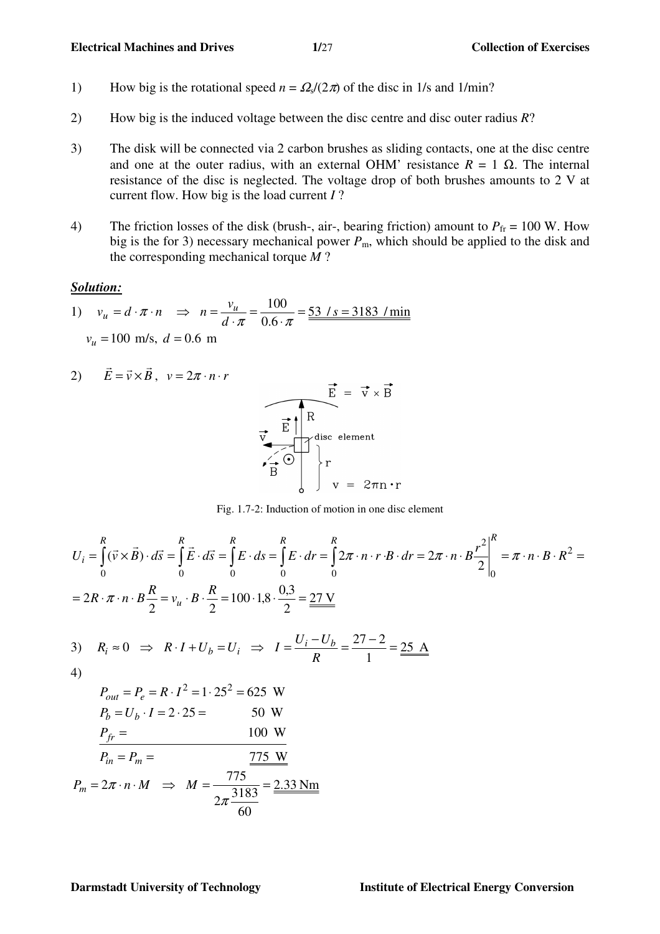- 1) How big is the rotational speed  $n = \Omega_s/(2\pi)$  of the disc in 1/s and 1/min?
- 2) How big is the induced voltage between the disc centre and disc outer radius *R*?
- 3) The disk will be connected via 2 carbon brushes as sliding contacts, one at the disc centre and one at the outer radius, with an external OHM' resistance  $R = 1 \Omega$ . The internal resistance of the disc is neglected. The voltage drop of both brushes amounts to 2 V at current flow. How big is the load current *I* ?
- 4) The friction losses of the disk (brush-, air-, bearing friction) amount to  $P_{\text{fr}} = 100 \text{ W}$ . How big is the for 3) necessary mechanical power  $P_m$ , which should be applied to the disk and the corresponding mechanical torque *M* ?

#### *Solution:*

1) 
$$
v_u = d \cdot \pi \cdot n \implies n = \frac{v_u}{d \cdot \pi} = \frac{100}{0.6 \cdot \pi} = \frac{53}{1} / s = 3183 / \text{min}
$$
  
 $v_u = 100 \text{ m/s}, d = 0.6 \text{ m}$ 

2) 
$$
\vec{E} = \vec{v} \times \vec{B}
$$
,  $v = 2\pi \cdot n \cdot r$   
  
 $\vec{E} = \vec{v} \times \vec{B}$   
  
 $\vec{E} = \vec{v} \times \vec{B}$   
  
 $\vec{E} = \vec{v} \times \vec{B}$   
  
 $\vec{E} = \vec{v} \times \vec{B}$   
  
 $\vec{E} = \vec{v} \times \vec{B}$ 



$$
U_{i} = \int_{0}^{R} (\vec{v} \times \vec{B}) \cdot d\vec{s} = \int_{0}^{R} \vec{E} \cdot d\vec{s} = \int_{0}^{R} E \cdot ds = \int_{0}^{R} E \cdot dr = \int_{0}^{R} 2\pi \cdot n \cdot r \cdot B \cdot dr = 2\pi \cdot n \cdot B \frac{r^{2}}{2} \Big|_{0}^{R} = \pi \cdot n \cdot B \cdot R^{2} = 2R \cdot \pi \cdot n \cdot B \frac{R}{2} = v_{u} \cdot B \cdot \frac{R}{2} = 100 \cdot 1.8 \cdot \frac{0.3}{2} = \frac{27 \text{ V}}{R}
$$
  
3)  $R_{i} \approx 0 \implies R \cdot I + U_{b} = U_{i} \implies I = \frac{U_{i} - U_{b}}{R} = \frac{27 - 2}{1} = \frac{25 \text{ A}}{R}$ 

4)

$$
P_{out} = P_e = R \cdot I^2 = 1 \cdot 25^2 = 625 \text{ W}
$$
  
\n
$$
P_b = U_b \cdot I = 2 \cdot 25 = 50 \text{ W}
$$
  
\n
$$
P_{fr} = 100 \text{ W}
$$
  
\n
$$
P_{in} = P_m = 775 \text{ W}
$$
  
\n
$$
P_m = 2\pi \cdot n \cdot M \implies M = \frac{775 \text{ W}}{2\pi \frac{3183}{60}} = \frac{2.33 \text{ Nm}}{2}
$$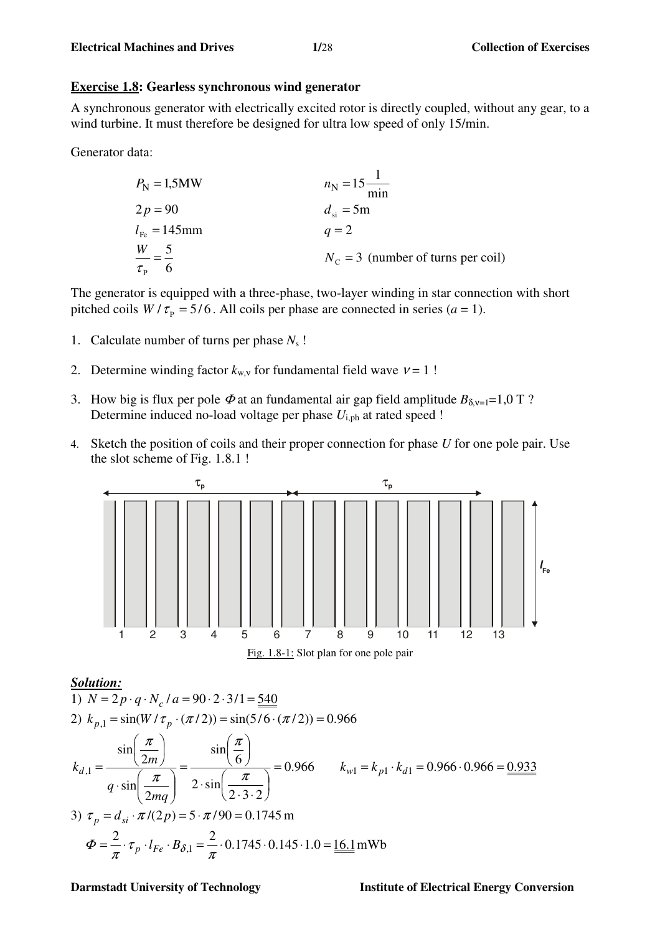## **Exercise 1.8: Gearless synchronous wind generator**

A synchronous generator with electrically excited rotor is directly coupled, without any gear, to a wind turbine. It must therefore be designed for ultra low speed of only 15/min.

Generator data:

| $P_N = 1,5MW$                    | $n_N = 15 \frac{1}{min}$             |
|----------------------------------|--------------------------------------|
| $2p = 90$                        | $d_{si} = 5m$                        |
| $l_{Fe} = 145mm$                 | $q = 2$                              |
| $\frac{W}{\tau_P} = \frac{5}{6}$ | $N_C = 3$ (number of turns per coil) |

The generator is equipped with a three-phase, two-layer winding in star connection with short pitched coils  $W / \tau_p = 5/6$ . All coils per phase are connected in series (*a* = 1).

- 1. Calculate number of turns per phase *N*s !
- 2. Determine winding factor  $k_{w,y}$  for fundamental field wave  $v = 1$ !
- 3. How big is flux per pole  $\Phi$  at an fundamental air gap field amplitude  $B_{\delta v=1}=1,0$  T ? Determine induced no-load voltage per phase  $U_{i,ph}$  at rated speed !
- 4. Sketch the position of coils and their proper connection for phase *U* for one pole pair. Use the slot scheme of Fig. 1.8.1 !





## *Solution:*

1) 
$$
N = 2p \cdot q \cdot N_c / a = 90 \cdot 2 \cdot 3/1 = \frac{540}{24}
$$
  
\n2)  $k_{p,1} = \sin(W / \tau_p \cdot (\pi / 2)) = \sin(5/6 \cdot (\pi / 2)) = 0.966$   
\n
$$
k_{d,1} = \frac{\sin(\frac{\pi}{2m})}{q \cdot \sin(\frac{\pi}{2mq})} = \frac{\sin(\frac{\pi}{6})}{2 \cdot \sin(\frac{\pi}{2 \cdot 3 \cdot 2})} = 0.966 \qquad k_{w1} = k_{p1} \cdot k_{d1} = 0.966 \cdot 0.966 = \frac{0.933}{2 \cdot \sin(\frac{\pi}{2 \cdot 3 \cdot 2})} = 0.966 \qquad k_{w2} = k_{p1} \cdot k_{d1} = 0.966 \cdot 0.966 = \frac{0.933}{4} = 0.966 \cdot 0.966 = \frac{0.933}{4} = 0.966 \cdot 0.966 = \frac{0.933}{4} = 0.966 \cdot 0.966 = \frac{0.933}{4} = 0.966 \cdot 0.966 = \frac{0.933}{4} = 0.966 \cdot 0.966 = \frac{0.933}{4} = 0.966 \cdot 0.966 = \frac{0.933}{4} = 0.966 \cdot 0.966 = \frac{0.933}{4} = 0.966 \cdot 0.966 = \frac{0.933}{4} = 0.966 \cdot 0.966 = \frac{0.933}{4} = 0.966 \cdot 0.966 = \frac{0.933}{4} = 0.966 \cdot 0.966 = \frac{0.933}{4} = 0.966 \cdot 0.966 = \frac{0.933}{4} = 0.966 \cdot 0.966 = \frac{0.933}{4} = 0.966 \cdot 0.966 = \frac{0.933}{4} = 0.966 \cdot 0.966 = \frac{0.933}{4} = 0.966 \cdot 0.966 = 0.966 \cdot 0.966 = 0.966 \cdot 0.966 = 0.966 \cdot
$$